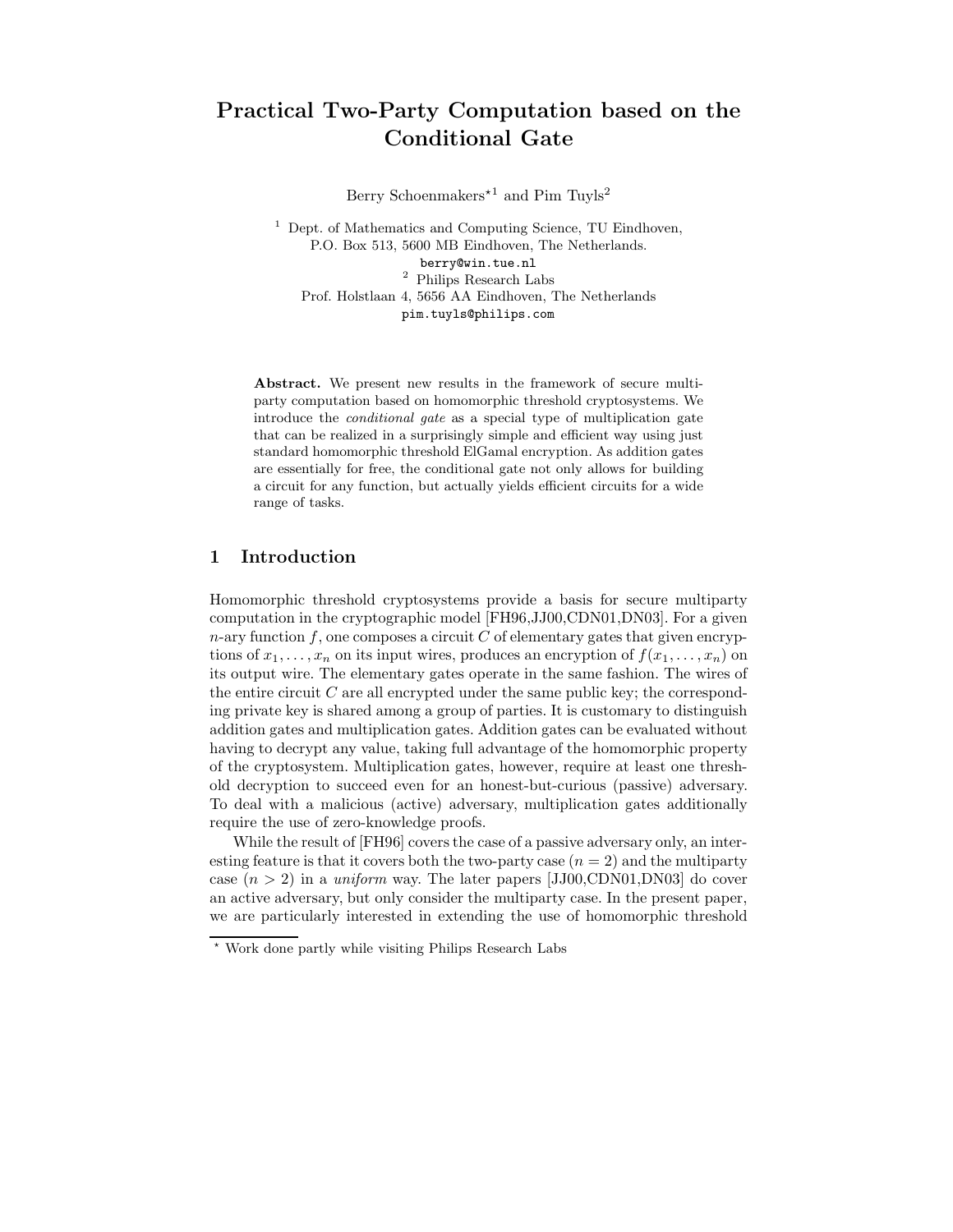# Practical Two-Party Computation based on the Conditional Gate

Berry Schoenmakers<sup>\*1</sup> and Pim Tuyls<sup>2</sup>

<sup>1</sup> Dept. of Mathematics and Computing Science, TU Eindhoven, P.O. Box 513, 5600 MB Eindhoven, The Netherlands. berry@win.tue.nl  $^{\rm 2}$  Philips Research Labs Prof. Holstlaan 4, 5656 AA Eindhoven, The Netherlands pim.tuyls@philips.com

Abstract. We present new results in the framework of secure multiparty computation based on homomorphic threshold cryptosystems. We introduce the conditional gate as a special type of multiplication gate that can be realized in a surprisingly simple and efficient way using just standard homomorphic threshold ElGamal encryption. As addition gates are essentially for free, the conditional gate not only allows for building a circuit for any function, but actually yields efficient circuits for a wide range of tasks.

# 1 Introduction

Homomorphic threshold cryptosystems provide a basis for secure multiparty computation in the cryptographic model [FH96,JJ00,CDN01,DN03]. For a given n-ary function f, one composes a circuit C of elementary gates that given encryptions of  $x_1, \ldots, x_n$  on its input wires, produces an encryption of  $f(x_1, \ldots, x_n)$  on its output wire. The elementary gates operate in the same fashion. The wires of the entire circuit  $C$  are all encrypted under the same public key; the corresponding private key is shared among a group of parties. It is customary to distinguish addition gates and multiplication gates. Addition gates can be evaluated without having to decrypt any value, taking full advantage of the homomorphic property of the cryptosystem. Multiplication gates, however, require at least one threshold decryption to succeed even for an honest-but-curious (passive) adversary. To deal with a malicious (active) adversary, multiplication gates additionally require the use of zero-knowledge proofs.

While the result of [FH96] covers the case of a passive adversary only, an interesting feature is that it covers both the two-party case  $(n = 2)$  and the multiparty case  $(n > 2)$  in a *uniform* way. The later papers [JJ00,CDN01,DN03] do cover an active adversary, but only consider the multiparty case. In the present paper, we are particularly interested in extending the use of homomorphic threshold

<sup>?</sup> Work done partly while visiting Philips Research Labs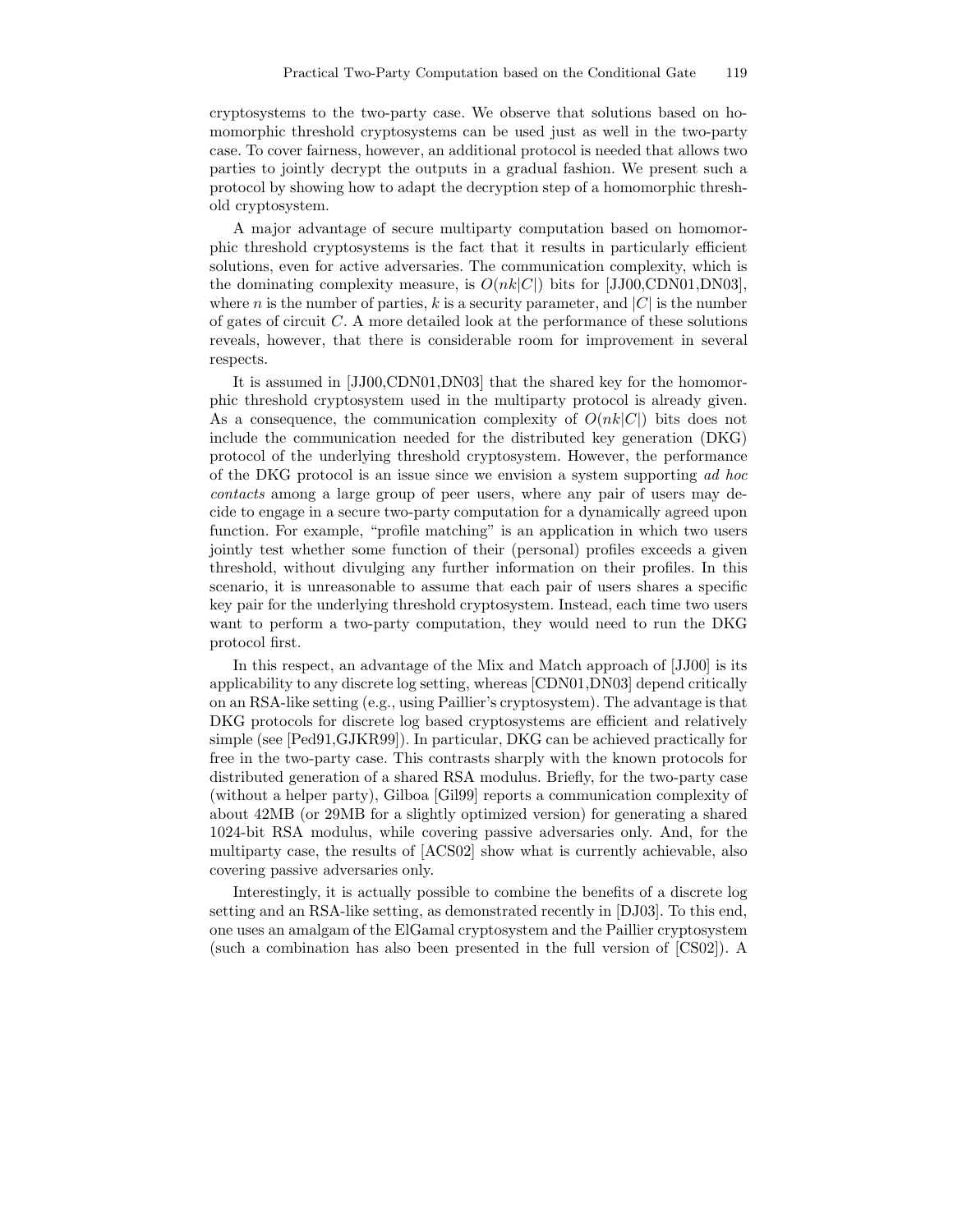cryptosystems to the two-party case. We observe that solutions based on homomorphic threshold cryptosystems can be used just as well in the two-party case. To cover fairness, however, an additional protocol is needed that allows two parties to jointly decrypt the outputs in a gradual fashion. We present such a protocol by showing how to adapt the decryption step of a homomorphic threshold cryptosystem.

A major advantage of secure multiparty computation based on homomorphic threshold cryptosystems is the fact that it results in particularly efficient solutions, even for active adversaries. The communication complexity, which is the dominating complexity measure, is  $O(nk|C|)$  bits for [JJ00,CDN01,DN03], where n is the number of parties, k is a security parameter, and  $|C|$  is the number of gates of circuit C. A more detailed look at the performance of these solutions reveals, however, that there is considerable room for improvement in several respects.

It is assumed in [JJ00,CDN01,DN03] that the shared key for the homomorphic threshold cryptosystem used in the multiparty protocol is already given. As a consequence, the communication complexity of  $O(nk|C|)$  bits does not include the communication needed for the distributed key generation (DKG) protocol of the underlying threshold cryptosystem. However, the performance of the DKG protocol is an issue since we envision a system supporting ad hoc contacts among a large group of peer users, where any pair of users may decide to engage in a secure two-party computation for a dynamically agreed upon function. For example, "profile matching" is an application in which two users jointly test whether some function of their (personal) profiles exceeds a given threshold, without divulging any further information on their profiles. In this scenario, it is unreasonable to assume that each pair of users shares a specific key pair for the underlying threshold cryptosystem. Instead, each time two users want to perform a two-party computation, they would need to run the DKG protocol first.

In this respect, an advantage of the Mix and Match approach of [JJ00] is its applicability to any discrete log setting, whereas [CDN01,DN03] depend critically on an RSA-like setting (e.g., using Paillier's cryptosystem). The advantage is that DKG protocols for discrete log based cryptosystems are efficient and relatively simple (see [Ped91,GJKR99]). In particular, DKG can be achieved practically for free in the two-party case. This contrasts sharply with the known protocols for distributed generation of a shared RSA modulus. Briefly, for the two-party case (without a helper party), Gilboa [Gil99] reports a communication complexity of about 42MB (or 29MB for a slightly optimized version) for generating a shared 1024-bit RSA modulus, while covering passive adversaries only. And, for the multiparty case, the results of [ACS02] show what is currently achievable, also covering passive adversaries only.

Interestingly, it is actually possible to combine the benefits of a discrete log setting and an RSA-like setting, as demonstrated recently in [DJ03]. To this end, one uses an amalgam of the ElGamal cryptosystem and the Paillier cryptosystem (such a combination has also been presented in the full version of [CS02]). A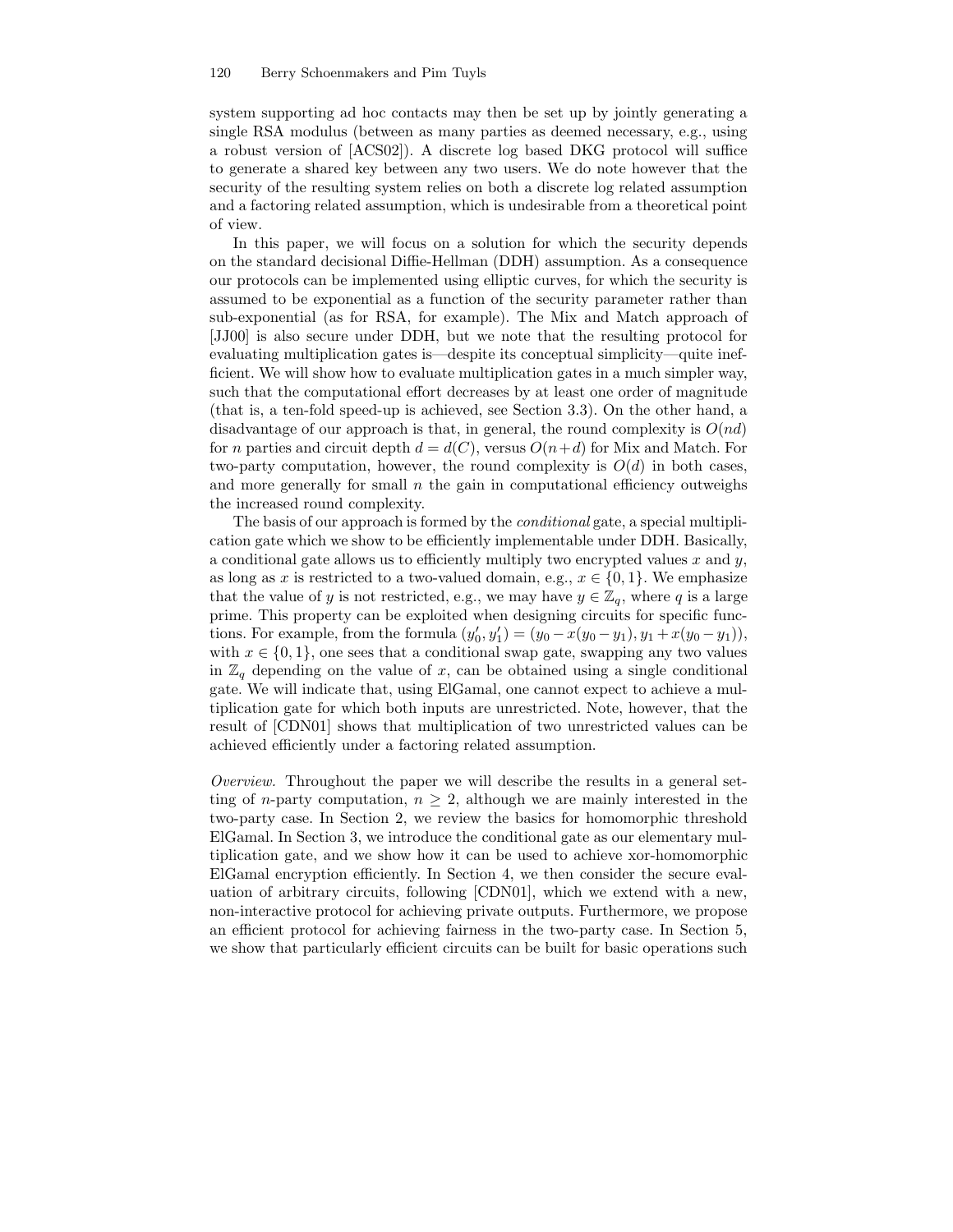system supporting ad hoc contacts may then be set up by jointly generating a single RSA modulus (between as many parties as deemed necessary, e.g., using a robust version of [ACS02]). A discrete log based DKG protocol will suffice to generate a shared key between any two users. We do note however that the security of the resulting system relies on both a discrete log related assumption and a factoring related assumption, which is undesirable from a theoretical point of view.

In this paper, we will focus on a solution for which the security depends on the standard decisional Diffie-Hellman (DDH) assumption. As a consequence our protocols can be implemented using elliptic curves, for which the security is assumed to be exponential as a function of the security parameter rather than sub-exponential (as for RSA, for example). The Mix and Match approach of [JJ00] is also secure under DDH, but we note that the resulting protocol for evaluating multiplication gates is—despite its conceptual simplicity—quite inefficient. We will show how to evaluate multiplication gates in a much simpler way, such that the computational effort decreases by at least one order of magnitude (that is, a ten-fold speed-up is achieved, see Section 3.3). On the other hand, a disadvantage of our approach is that, in general, the round complexity is  $O(nd)$ for n parties and circuit depth  $d = d(C)$ , versus  $O(n+d)$  for Mix and Match. For two-party computation, however, the round complexity is  $O(d)$  in both cases, and more generally for small  $n$  the gain in computational efficiency outweighs the increased round complexity.

The basis of our approach is formed by the conditional gate, a special multiplication gate which we show to be efficiently implementable under DDH. Basically, a conditional gate allows us to efficiently multiply two encrypted values  $x$  and  $y$ , as long as x is restricted to a two-valued domain, e.g.,  $x \in \{0, 1\}$ . We emphasize that the value of y is not restricted, e.g., we may have  $y \in \mathbb{Z}_q$ , where q is a large prime. This property can be exploited when designing circuits for specific functions. For example, from the formula  $(y'_0, y'_1) = (y_0 - x(y_0 - y_1), y_1 + x(y_0 - y_1)),$ with  $x \in \{0, 1\}$ , one sees that a conditional swap gate, swapping any two values in  $\mathbb{Z}_q$  depending on the value of x, can be obtained using a single conditional gate. We will indicate that, using ElGamal, one cannot expect to achieve a multiplication gate for which both inputs are unrestricted. Note, however, that the result of [CDN01] shows that multiplication of two unrestricted values can be achieved efficiently under a factoring related assumption.

Overview. Throughout the paper we will describe the results in a general setting of *n*-party computation,  $n \geq 2$ , although we are mainly interested in the two-party case. In Section 2, we review the basics for homomorphic threshold ElGamal. In Section 3, we introduce the conditional gate as our elementary multiplication gate, and we show how it can be used to achieve xor-homomorphic ElGamal encryption efficiently. In Section 4, we then consider the secure evaluation of arbitrary circuits, following [CDN01], which we extend with a new, non-interactive protocol for achieving private outputs. Furthermore, we propose an efficient protocol for achieving fairness in the two-party case. In Section 5, we show that particularly efficient circuits can be built for basic operations such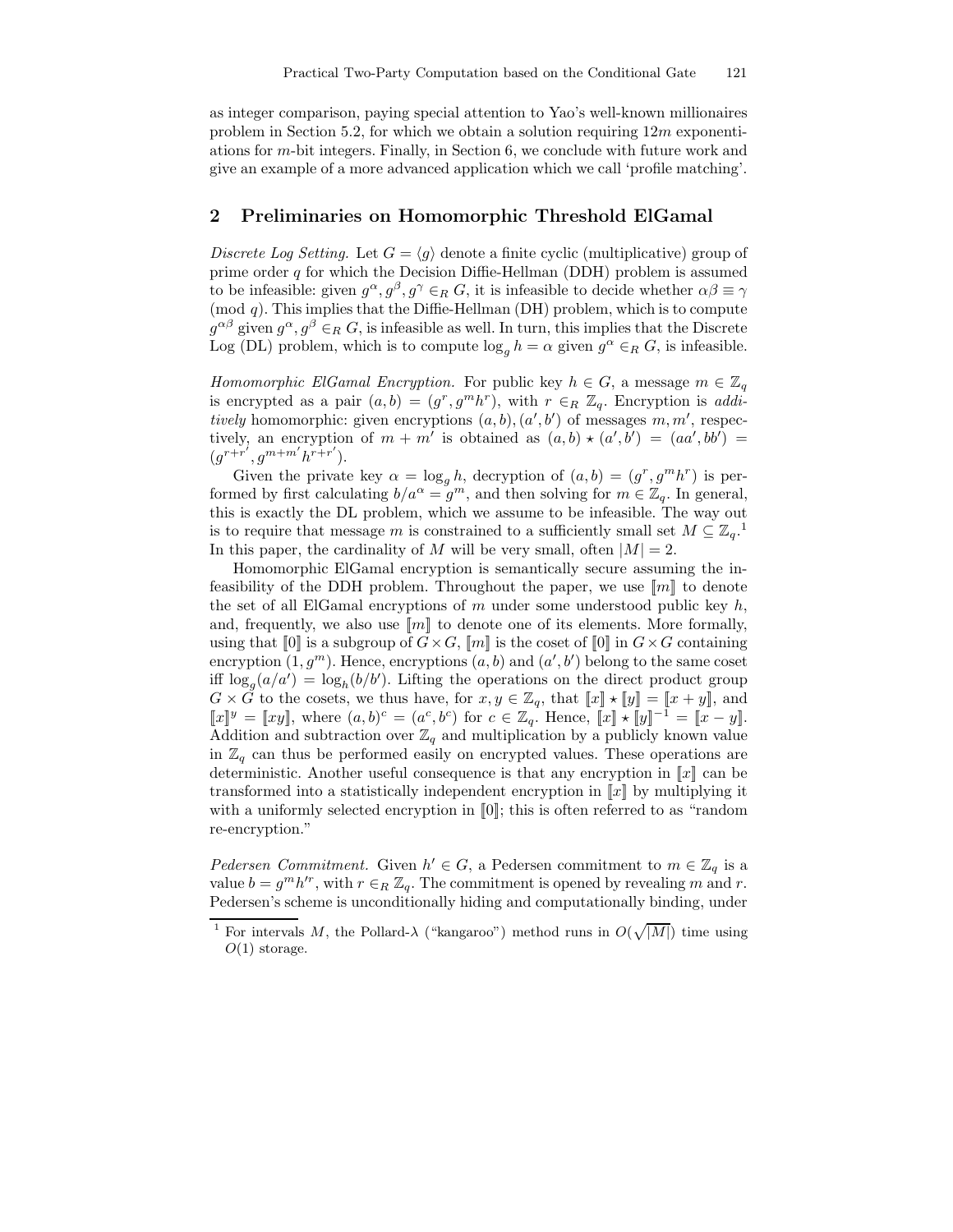as integer comparison, paying special attention to Yao's well-known millionaires problem in Section 5.2, for which we obtain a solution requiring  $12m$  exponentiations for m-bit integers. Finally, in Section 6, we conclude with future work and give an example of a more advanced application which we call 'profile matching'.

## 2 Preliminaries on Homomorphic Threshold ElGamal

Discrete Log Setting. Let  $G = \langle q \rangle$  denote a finite cyclic (multiplicative) group of prime order  $q$  for which the Decision Diffie-Hellman (DDH) problem is assumed to be infeasible: given  $g^{\alpha}, g^{\beta}, g^{\gamma} \in_R G$ , it is infeasible to decide whether  $\alpha\beta \equiv \gamma$  $\pmod{q}$ . This implies that the Diffie-Hellman (DH) problem, which is to compute  $g^{\alpha\beta}$  given  $g^{\alpha}, g^{\beta} \in_R G$ , is infeasible as well. In turn, this implies that the Discrete Log (DL) problem, which is to compute  $\log_g h = \alpha$  given  $g^{\alpha} \in_R G$ , is infeasible.

Homomorphic ElGamal Encryption. For public key  $h \in G$ , a message  $m \in \mathbb{Z}_q$ is encrypted as a pair  $(a, b) = (g^r, g^m h^r)$ , with  $r \in_R \mathbb{Z}_q$ . Encryption is additively homomorphic: given encryptions  $(a, b), (a', b')$  of messages  $m, m'$ , respectively, an encryption of  $m + m'$  is obtained as  $(a, b) \star (a', b') = (aa', bb') =$  $(g^{r+r'}, g^{m+m'}h^{r+r'}).$ 

Given the private key  $\alpha = \log_g h$ , decryption of  $(a, b) = (g^r, g^m h^r)$  is performed by first calculating  $b/a^{\alpha} = g^m$ , and then solving for  $m \in \mathbb{Z}_q$ . In general, this is exactly the DL problem, which we assume to be infeasible. The way out is to require that message m is constrained to a sufficiently small set  $M \subseteq \mathbb{Z}_q$ . In this paper, the cardinality of M will be very small, often  $|M| = 2$ .

Homomorphic ElGamal encryption is semantically secure assuming the infeasibility of the DDH problem. Throughout the paper, we use  $\llbracket m \rrbracket$  to denote the set of all ElGamal encryptions of  $m$  under some understood public key  $h$ , and, frequently, we also use  $\llbracket m \rrbracket$  to denote one of its elements. More formally, using that  $[0]$  is a subgroup of  $G \times G$ ,  $[m]$  is the coset of  $[0]$  in  $G \times G$  containing encryption  $(1, g<sup>m</sup>)$ . Hence, encryptions  $(a, b)$  and  $(a', b')$  belong to the same coset iff  $\log_g(a/a') = \log_h(b/b')$ . Lifting the operations on the direct product group  $G \times \tilde{G}$  to the cosets, we thus have, for  $x, y \in \mathbb{Z}_q$ , that  $\llbracket x \rrbracket \times \llbracket y \rrbracket = \llbracket x + y \rrbracket$ , and  $\llbracket x \rrbracket^y = \llbracket xy \rrbracket$ , where  $(a, b)^c = (a^c, b^c)$  for  $c \in \mathbb{Z}_q$ . Hence,  $\llbracket x \rrbracket \star \llbracket y \rrbracket^{-1} = \llbracket x - y \rrbracket$ . Addition and subtraction over  $\mathbb{Z}_q$  and multiplication by a publicly known value in  $\mathbb{Z}_q$  can thus be performed easily on encrypted values. These operations are deterministic. Another useful consequence is that any encryption in  $\llbracket x \rrbracket$  can be transformed into a statistically independent encryption in  $||x||$  by multiplying it with a uniformly selected encryption in  $[0]$ ; this is often referred to as "random re-encryption."

Pedersen Commitment. Given  $h' \in G$ , a Pedersen commitment to  $m \in \mathbb{Z}_q$  is a value  $b = g^m h'^r$ , with  $r \in_R \mathbb{Z}_q$ . The commitment is opened by revealing m and r. Pedersen's scheme is unconditionally hiding and computationally binding, under

<sup>&</sup>lt;sup>1</sup> For intervals M, the Pollard- $\lambda$  ("kangaroo") method runs in  $O(\sqrt{|M|})$  time using  $O(1)$  storage.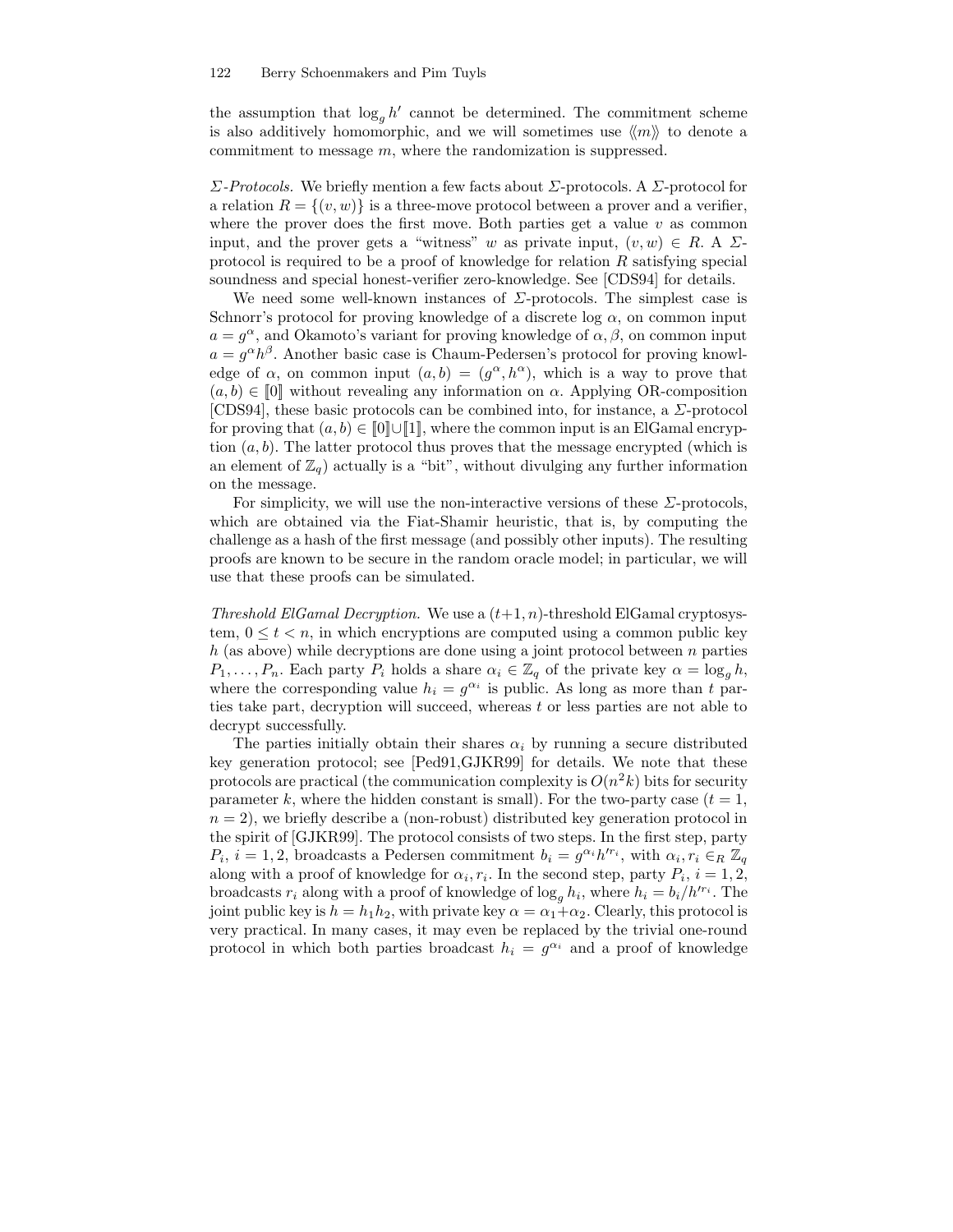the assumption that  $\log_g h'$  cannot be determined. The commitment scheme is also additively homomorphic, and we will sometimes use  $\langle\!\langle m \rangle\!\rangle$  to denote a commitment to message m, where the randomization is suppressed.

Σ-Protocols. We briefly mention a few facts about Σ-protocols. A Σ-protocol for a relation  $R = \{(v, w)\}\$ is a three-move protocol between a prover and a verifier, where the prover does the first move. Both parties get a value  $v$  as common input, and the prover gets a "witness" w as private input,  $(v, w) \in R$ . A  $\Sigma$ protocol is required to be a proof of knowledge for relation  $R$  satisfying special soundness and special honest-verifier zero-knowledge. See [CDS94] for details.

We need some well-known instances of  $\Sigma$ -protocols. The simplest case is Schnorr's protocol for proving knowledge of a discrete log  $\alpha$ , on common input  $a = g^{\alpha}$ , and Okamoto's variant for proving knowledge of  $\alpha, \beta$ , on common input  $a = g^{\alpha}h^{\beta}$ . Another basic case is Chaum-Pedersen's protocol for proving knowledge of  $\alpha$ , on common input  $(a, b) = (g^{\alpha}, h^{\alpha})$ , which is a way to prove that  $(a, b) \in [0]$  without revealing any information on  $\alpha$ . Applying OR-composition [CDS94], these basic protocols can be combined into, for instance, a Σ-protocol for proving that  $(a, b) \in [0] \cup [1]$ , where the common input is an ElGamal encryption  $(a, b)$ . The latter protocol thus proves that the message encrypted (which is an element of  $\mathbb{Z}_q$ ) actually is a "bit", without divulging any further information on the message.

For simplicity, we will use the non-interactive versions of these  $\Sigma$ -protocols, which are obtained via the Fiat-Shamir heuristic, that is, by computing the challenge as a hash of the first message (and possibly other inputs). The resulting proofs are known to be secure in the random oracle model; in particular, we will use that these proofs can be simulated.

Threshold ElGamal Decryption. We use a  $(t+1, n)$ -threshold ElGamal cryptosystem,  $0 \le t \le n$ , in which encryptions are computed using a common public key  $h$  (as above) while decryptions are done using a joint protocol between  $n$  parties  $P_1, \ldots, P_n$ . Each party  $P_i$  holds a share  $\alpha_i \in \mathbb{Z}_q$  of the private key  $\alpha = \log_a h$ , where the corresponding value  $h_i = g^{\alpha_i}$  is public. As long as more than t parties take part, decryption will succeed, whereas  $t$  or less parties are not able to decrypt successfully.

The parties initially obtain their shares  $\alpha_i$  by running a secure distributed key generation protocol; see [Ped91,GJKR99] for details. We note that these protocols are practical (the communication complexity is  $O(n^2k)$  bits for security parameter k, where the hidden constant is small). For the two-party case  $(t = 1,$  $n = 2$ , we briefly describe a (non-robust) distributed key generation protocol in the spirit of [GJKR99]. The protocol consists of two steps. In the first step, party  $P_i$ ,  $i = 1, 2$ , broadcasts a Pedersen commitment  $b_i = g^{\alpha_i} h'^{r_i}$ , with  $\alpha_i, r_i \in_R \mathbb{Z}_q$ along with a proof of knowledge for  $\alpha_i, r_i$ . In the second step, party  $P_i$ ,  $i = 1, 2$ , broadcasts  $r_i$  along with a proof of knowledge of  $\log_g h_i$ , where  $h_i = b_i/h'^{r_i}$ . The joint public key is  $h = h_1 h_2$ , with private key  $\alpha = \alpha_1 + \alpha_2$ . Clearly, this protocol is very practical. In many cases, it may even be replaced by the trivial one-round protocol in which both parties broadcast  $h_i = g^{\alpha_i}$  and a proof of knowledge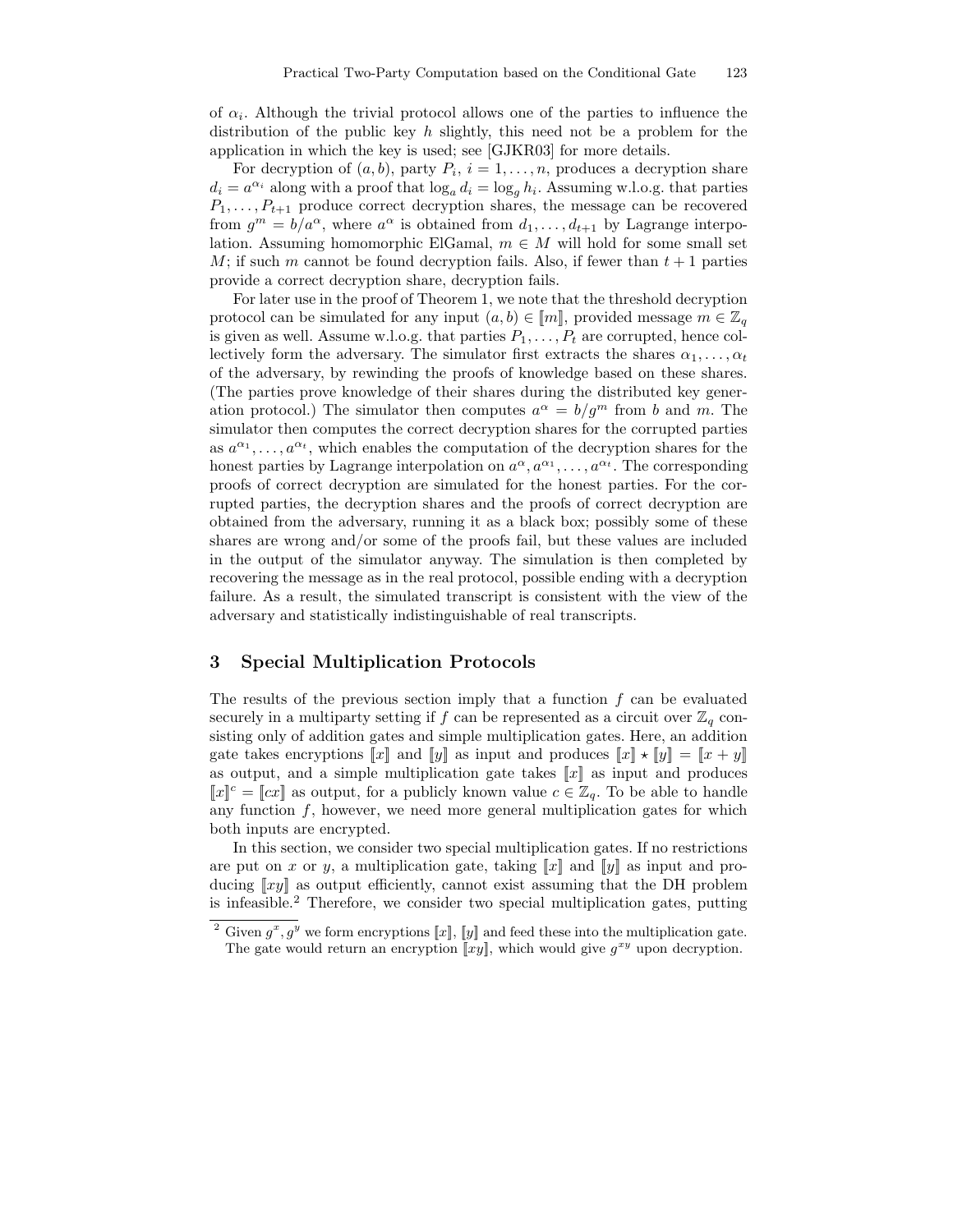of  $\alpha_i$ . Although the trivial protocol allows one of the parties to influence the distribution of the public key h slightly, this need not be a problem for the application in which the key is used; see [GJKR03] for more details.

For decryption of  $(a, b)$ , party  $P_i$ ,  $i = 1, \ldots, n$ , produces a decryption share  $d_i = a^{\alpha_i}$  along with a proof that  $\log_a d_i = \log_g h_i$ . Assuming w.l.o.g. that parties  $P_1, \ldots, P_{t+1}$  produce correct decryption shares, the message can be recovered from  $g^m = b/a^{\alpha}$ , where  $a^{\alpha}$  is obtained from  $d_1, \ldots, d_{t+1}$  by Lagrange interpolation. Assuming homomorphic ElGamal,  $m \in M$  will hold for some small set M; if such m cannot be found decryption fails. Also, if fewer than  $t + 1$  parties provide a correct decryption share, decryption fails.

For later use in the proof of Theorem 1, we note that the threshold decryption protocol can be simulated for any input  $(a, b) \in [m]$ , provided message  $m \in \mathbb{Z}_q$ is given as well. Assume w.l.o.g. that parties  $P_1, \ldots, P_t$  are corrupted, hence collectively form the adversary. The simulator first extracts the shares  $\alpha_1, \ldots, \alpha_t$ of the adversary, by rewinding the proofs of knowledge based on these shares. (The parties prove knowledge of their shares during the distributed key generation protocol.) The simulator then computes  $a^{\alpha} = b/g^m$  from b and m. The simulator then computes the correct decryption shares for the corrupted parties as  $a^{\alpha_1}, \ldots, a^{\alpha_t}$ , which enables the computation of the decryption shares for the honest parties by Lagrange interpolation on  $a^{\alpha}, a^{\alpha_1}, \ldots, a^{\alpha_t}$ . The corresponding proofs of correct decryption are simulated for the honest parties. For the corrupted parties, the decryption shares and the proofs of correct decryption are obtained from the adversary, running it as a black box; possibly some of these shares are wrong and/or some of the proofs fail, but these values are included in the output of the simulator anyway. The simulation is then completed by recovering the message as in the real protocol, possible ending with a decryption failure. As a result, the simulated transcript is consistent with the view of the adversary and statistically indistinguishable of real transcripts.

# 3 Special Multiplication Protocols

The results of the previous section imply that a function  $f$  can be evaluated securely in a multiparty setting if f can be represented as a circuit over  $\mathbb{Z}_q$  consisting only of addition gates and simple multiplication gates. Here, an addition gate takes encryptions  $\llbracket x \rrbracket$  and  $\llbracket y \rrbracket$  as input and produces  $\llbracket x \rrbracket \star \llbracket y \rrbracket = \llbracket x + y \rrbracket$ as output, and a simple multiplication gate takes  $\llbracket x \rrbracket$  as input and produces  $\llbracket x \rrbracket^c = \llbracket cx \rrbracket$  as output, for a publicly known value  $c \in \mathbb{Z}_q$ . To be able to handle any function  $f$ , however, we need more general multiplication gates for which both inputs are encrypted.

In this section, we consider two special multiplication gates. If no restrictions are put on x or y, a multiplication gate, taking  $\llbracket x \rrbracket$  and  $\llbracket y \rrbracket$  as input and producing  $\llbracket xy \rrbracket$  as output efficiently, cannot exist assuming that the DH problem is infeasible.<sup>2</sup> Therefore, we consider two special multiplication gates, putting

<sup>&</sup>lt;sup>2</sup> Given  $g^x$ ,  $g^y$  we form encryptions [x], [y] and feed these into the multiplication gate. The gate would return an encryption  $\llbracket xy \rrbracket$ , which would give  $g^{xy}$  upon decryption.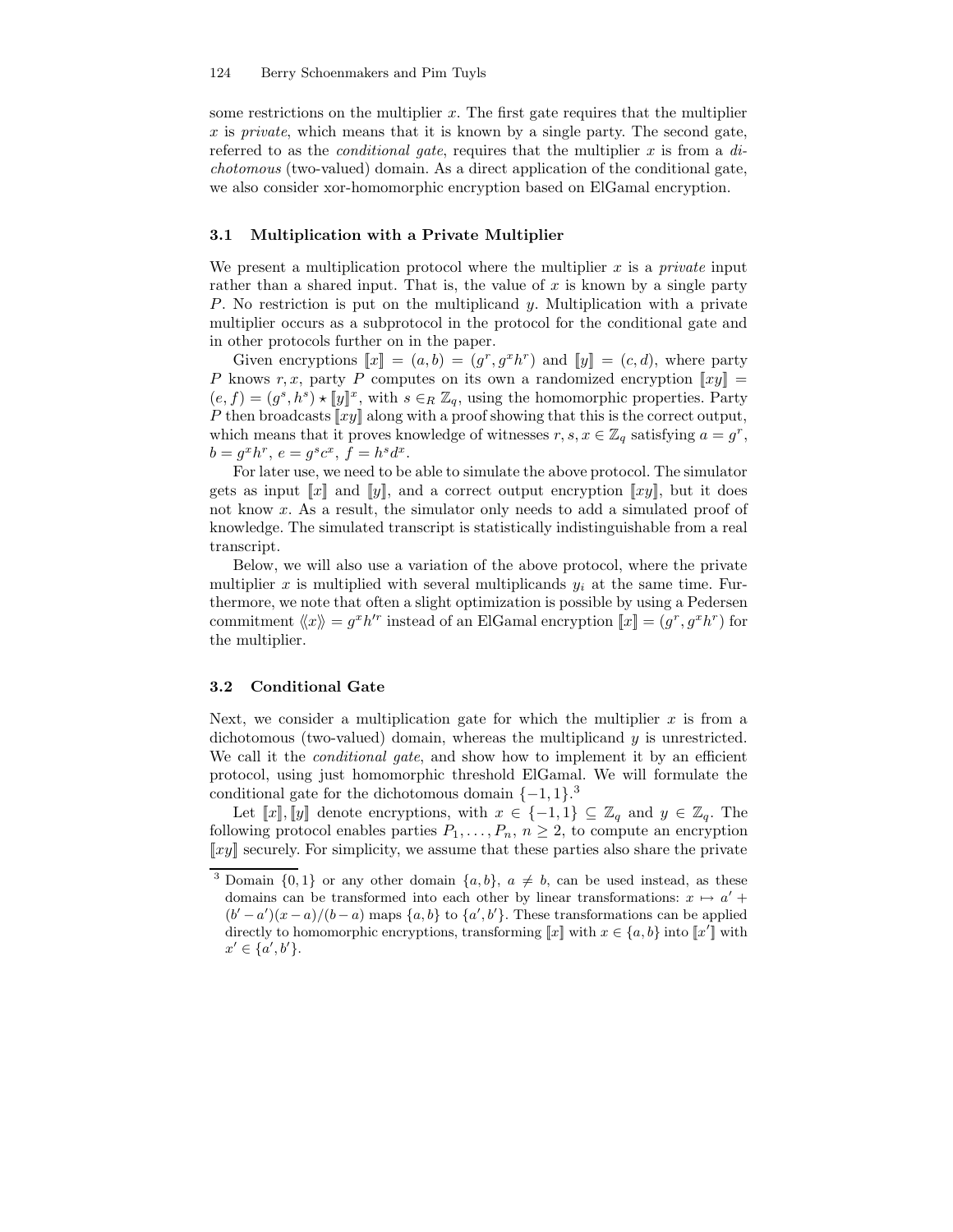some restrictions on the multiplier  $x$ . The first gate requires that the multiplier  $x$  is *private*, which means that it is known by a single party. The second gate, referred to as the *conditional gate*, requires that the multiplier x is from a  $di$ chotomous (two-valued) domain. As a direct application of the conditional gate, we also consider xor-homomorphic encryption based on ElGamal encryption.

#### 3.1 Multiplication with a Private Multiplier

We present a multiplication protocol where the multiplier  $x$  is a *private* input rather than a shared input. That is, the value of x is known by a single party P. No restriction is put on the multiplicand  $y$ . Multiplication with a private multiplier occurs as a subprotocol in the protocol for the conditional gate and in other protocols further on in the paper.

Given encryptions  $[x] = (a, b) = (g^r, g^x h^r)$  and  $[y] = (c, d)$ , where party P knows r, x, party P computes on its own a randomized encryption  $\llbracket xy \rrbracket$  =  $(e, f) = (g^s, h^s) \star [y]^x$ , with  $s \in_R \mathbb{Z}_q$ , using the homomorphic properties. Party P then broadcasts  $\llbracket xy \rrbracket$  along with a proof showing that this is the correct output, which means that it proves knowledge of witnesses  $r, s, x \in \mathbb{Z}_q$  satisfying  $a = g^r$ ,  $b = g^x h^r, e = g^s c^x, f = h^s d^x.$ 

For later use, we need to be able to simulate the above protocol. The simulator gets as input  $\llbracket x \rrbracket$  and  $\llbracket y \rrbracket$ , and a correct output encryption  $\llbracket xy \rrbracket$ , but it does not know x. As a result, the simulator only needs to add a simulated proof of knowledge. The simulated transcript is statistically indistinguishable from a real transcript.

Below, we will also use a variation of the above protocol, where the private multiplier x is multiplied with several multiplicands  $y_i$  at the same time. Furthermore, we note that often a slight optimization is possible by using a Pedersen commitment  $\langle x \rangle = g^x h'^r$  instead of an ElGamal encryption  $\llbracket x \rrbracket = (g^r, g^x h^r)$  for the multiplier.

#### 3.2 Conditional Gate

Next, we consider a multiplication gate for which the multiplier  $x$  is from a dichotomous (two-valued) domain, whereas the multiplicand  $y$  is unrestricted. We call it the *conditional gate*, and show how to implement it by an efficient protocol, using just homomorphic threshold ElGamal. We will formulate the conditional gate for the dichotomous domain  $\{-1, 1\}$ <sup>3</sup>

Let  $[x], [y]$  denote encryptions, with  $x \in \{-1,1\} \subseteq \mathbb{Z}_q$  and  $y \in \mathbb{Z}_q$ . The following protocol enables parties  $P_1, \ldots, P_n, n \geq 2$ , to compute an encryption  $\llbracket xy \rrbracket$  securely. For simplicity, we assume that these parties also share the private

<sup>&</sup>lt;sup>3</sup> Domain  $\{0,1\}$  or any other domain  $\{a,b\}$ ,  $a \neq b$ , can be used instead, as these domains can be transformed into each other by linear transformations:  $x \mapsto a' +$  $(b'-a')(x-a)/(b-a)$  maps  $\{a,b\}$  to  $\{a',b'\}$ . These transformations can be applied directly to homomorphic encryptions, transforming  $\llbracket x \rrbracket$  with  $x \in \{a, b\}$  into  $\llbracket x' \rrbracket$  with  $x' \in \{a', b'\}.$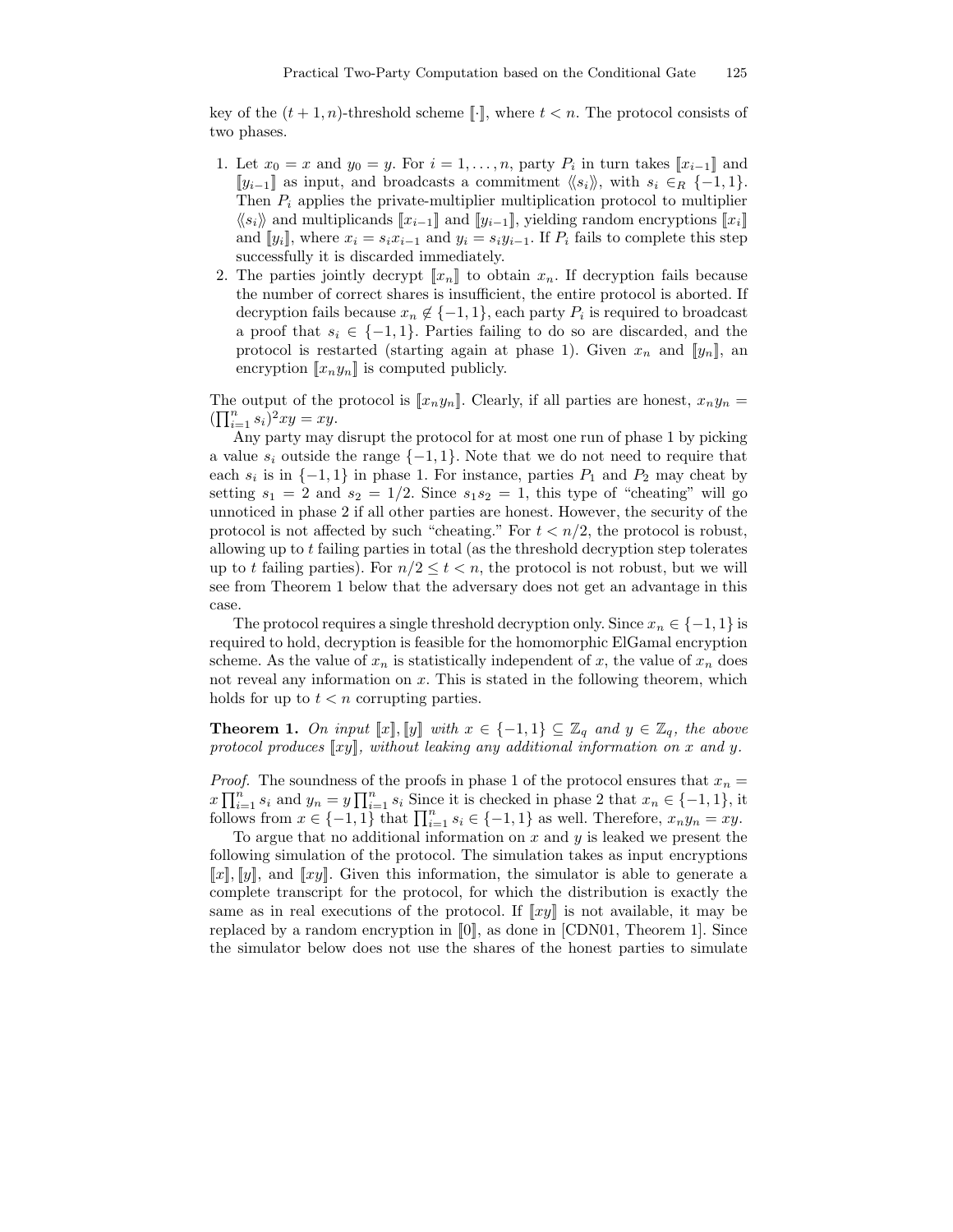key of the  $(t + 1, n)$ -threshold scheme [i], where  $t < n$ . The protocol consists of two phases.

- 1. Let  $x_0 = x$  and  $y_0 = y$ . For  $i = 1, \ldots, n$ , party  $P_i$  in turn takes  $\llbracket x_{i-1} \rrbracket$  and [ $y_{i-1}$ ] as input, and broadcasts a commitment  $\langle s_i \rangle$ , with  $s_i \in_R \{-1, 1\}.$ Then  $P_i$  applies the private-multiplier multiplication protocol to multiplier  $\langle s_i \rangle$  and multiplicands  $[[x_{i-1}]]$  and  $[[y_{i-1}]]$ , yielding random encryptions  $[[x_i]]$ and [ $y_i$ ], where  $x_i = s_i x_{i-1}$  and  $y_i = s_i y_{i-1}$ . If  $P_i$  fails to complete this step successfully it is discarded immediately.
- 2. The parties jointly decrypt  $\llbracket x_n \rrbracket$  to obtain  $x_n$ . If decryption fails because the number of correct shares is insufficient, the entire protocol is aborted. If decryption fails because  $x_n \notin \{-1,1\}$ , each party  $P_i$  is required to broadcast a proof that  $s_i \in \{-1,1\}$ . Parties failing to do so are discarded, and the protocol is restarted (starting again at phase 1). Given  $x_n$  and  $[y_n]$ , an encryption  $\llbracket x_n y_n \rrbracket$  is computed publicly.

The output of the protocol is  $[x_n y_n]$ . Clearly, if all parties are honest,  $x_n y_n =$  $(\prod_{i=1}^n s_i)^2 xy = xy.$ 

Any party may disrupt the protocol for at most one run of phase 1 by picking a value  $s_i$  outside the range  $\{-1,1\}$ . Note that we do not need to require that each  $s_i$  is in  $\{-1,1\}$  in phase 1. For instance, parties  $P_1$  and  $P_2$  may cheat by setting  $s_1 = 2$  and  $s_2 = 1/2$ . Since  $s_1 s_2 = 1$ , this type of "cheating" will go unnoticed in phase 2 if all other parties are honest. However, the security of the protocol is not affected by such "cheating." For  $t < n/2$ , the protocol is robust, allowing up to  $t$  failing parties in total (as the threshold decryption step tolerates) up to t failing parties). For  $n/2 \le t \le n$ , the protocol is not robust, but we will see from Theorem 1 below that the adversary does not get an advantage in this case.

The protocol requires a single threshold decryption only. Since  $x_n \in \{-1, 1\}$  is required to hold, decryption is feasible for the homomorphic ElGamal encryption scheme. As the value of  $x_n$  is statistically independent of x, the value of  $x_n$  does not reveal any information on  $x$ . This is stated in the following theorem, which holds for up to  $t < n$  corrupting parties.

**Theorem 1.** On input  $[\![x]\!]$ ,  $[\![y]\!]$  with  $x \in \{-1,1\} \subseteq \mathbb{Z}_q$  and  $y \in \mathbb{Z}_q$ , the above protocol produces  $\llbracket xy \rrbracket$ , without leaking any additional information on x and y.

*Proof.* The soundness of the proofs in phase 1 of the protocol ensures that  $x_n =$  $x \prod_{i=1}^{n} s_i$  and  $y_n = y \prod_{i=1}^{n} s_i$  Since it is checked in phase 2 that  $x_n \in \{-1, 1\}$ , it follows from  $x \in \{-1,1\}$  that  $\prod_{i=1}^n s_i \in \{-1,1\}$  as well. Therefore,  $x_n y_n = xy$ .

To argue that no additional information on  $x$  and  $y$  is leaked we present the following simulation of the protocol. The simulation takes as input encryptions  $[x]$ ,  $[y]$ , and  $[xy]$ . Given this information, the simulator is able to generate a complete transcript for the protocol, for which the distribution is exactly the same as in real executions of the protocol. If  $\llbracket x_y \rrbracket$  is not available, it may be replaced by a random encryption in  $[0]$ , as done in [CDN01, Theorem 1]. Since the simulator below does not use the shares of the honest parties to simulate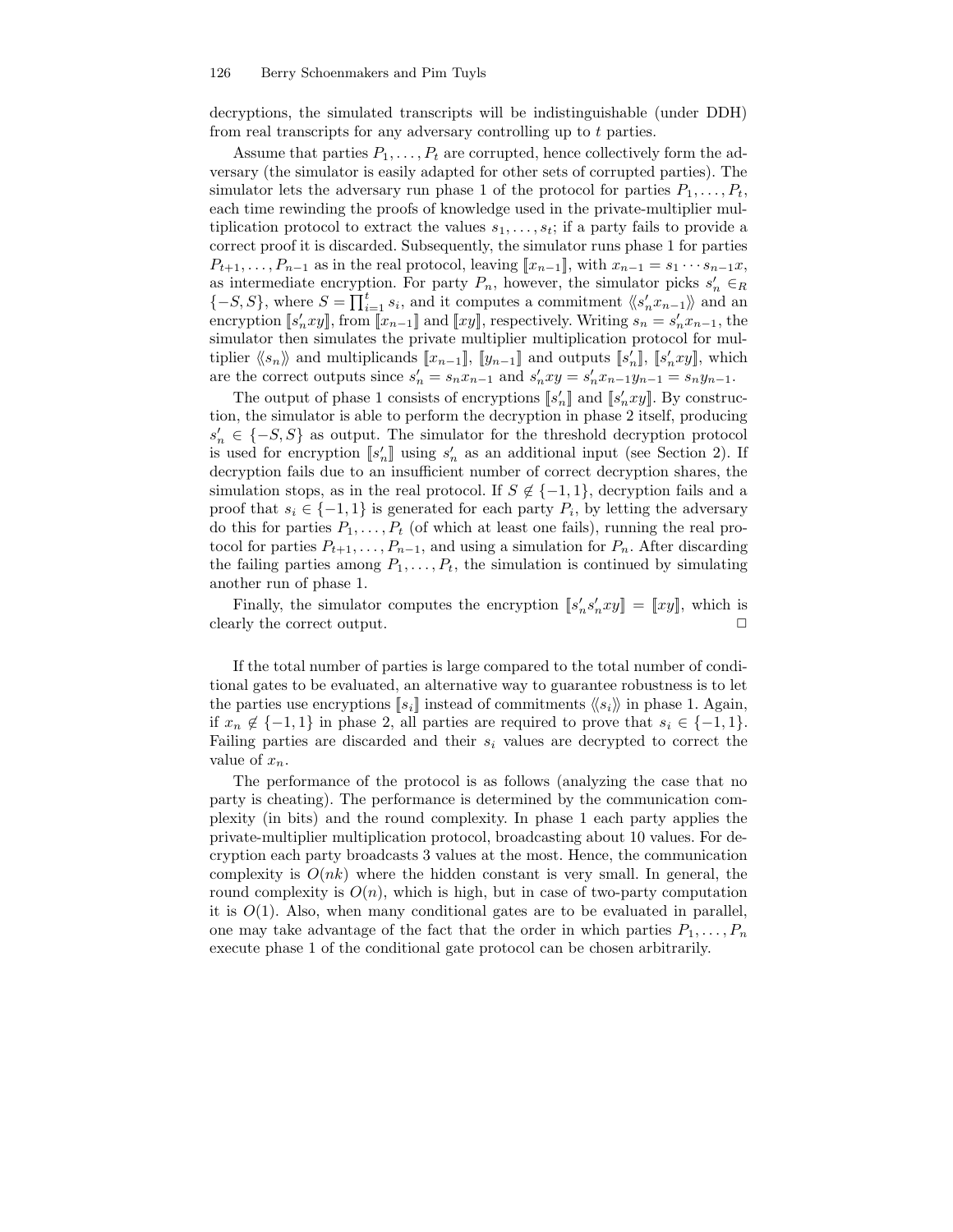decryptions, the simulated transcripts will be indistinguishable (under DDH) from real transcripts for any adversary controlling up to t parties.

Assume that parties  $P_1, \ldots, P_t$  are corrupted, hence collectively form the adversary (the simulator is easily adapted for other sets of corrupted parties). The simulator lets the adversary run phase 1 of the protocol for parties  $P_1, \ldots, P_t$ , each time rewinding the proofs of knowledge used in the private-multiplier multiplication protocol to extract the values  $s_1, \ldots, s_t$ ; if a party fails to provide a correct proof it is discarded. Subsequently, the simulator runs phase 1 for parties  $P_{t+1}, \ldots, P_{n-1}$  as in the real protocol, leaving  $\llbracket x_{n-1} \rrbracket$ , with  $x_{n-1} = s_1 \cdots s_{n-1} x$ , as intermediate encryption. For party  $P_n$ , however, the simulator picks  $s'_n \in R$  ${-S, S}$ , where  $S = \prod_{i=1}^{t} s_i$ , and it computes a commitment  $\langle s'_n x_{n-1} \rangle$  and an encryption  $[[s'_n xy]]$ , from  $[[x_{n-1}]]$  and  $[[xy]]$ , respectively. Writing  $s_n = s'_n x_{n-1}$ , the simulator then simulates the private multiplier multiplication protocol for multiplier  $\langle \n\langle s_n \rangle \rangle$  and multiplicands  $[\![x_{n-1}]\!]$ ,  $[\![y_{n-1}]\!]$  and outputs  $[\![s'_n]\!]$ ,  $[\![s'_n xy]\!]$ , which are the correct outputs since  $s'_n = s_n x_{n-1}$  and  $s'_n xy = s'_n x_{n-1} y_{n-1} = s_n y_{n-1}$ .

The output of phase 1 consists of encryptions  $[[s'_n]]$  and  $[[s'_nxy]]$ . By construction, the simulator is able to perform the decryption in phase 2 itself, producing  $s'_n \in \{-S, S\}$  as output. The simulator for the threshold decryption protocol is used for encryption  $[[s'_n]]$  using  $s'_n$  as an additional input (see Section 2). If decryption fails due to an insufficient number of correct decryption shares, the simulation stops, as in the real protocol. If  $S \notin \{-1,1\}$ , decryption fails and a proof that  $s_i \in \{-1,1\}$  is generated for each party  $P_i$ , by letting the adversary do this for parties  $P_1, \ldots, P_t$  (of which at least one fails), running the real protocol for parties  $P_{t+1}, \ldots, P_{n-1}$ , and using a simulation for  $P_n$ . After discarding the failing parties among  $P_1, \ldots, P_t$ , the simulation is continued by simulating another run of phase 1.

Finally, the simulator computes the encryption  $[[s'_n s'_n xy]] = [[xy]]$ , which is clearly the correct output.  $\Box$ 

If the total number of parties is large compared to the total number of conditional gates to be evaluated, an alternative way to guarantee robustness is to let the parties use encryptions [ $s_i$ ] instead of commitments  $\langle\langle s_i \rangle\rangle$  in phase 1. Again, if  $x_n \notin \{-1, 1\}$  in phase 2, all parties are required to prove that  $s_i \in \{-1, 1\}$ . Failing parties are discarded and their  $s_i$  values are decrypted to correct the value of  $x_n$ .

The performance of the protocol is as follows (analyzing the case that no party is cheating). The performance is determined by the communication complexity (in bits) and the round complexity. In phase 1 each party applies the private-multiplier multiplication protocol, broadcasting about 10 values. For decryption each party broadcasts 3 values at the most. Hence, the communication complexity is  $O(nk)$  where the hidden constant is very small. In general, the round complexity is  $O(n)$ , which is high, but in case of two-party computation it is  $O(1)$ . Also, when many conditional gates are to be evaluated in parallel, one may take advantage of the fact that the order in which parties  $P_1, \ldots, P_n$ execute phase 1 of the conditional gate protocol can be chosen arbitrarily.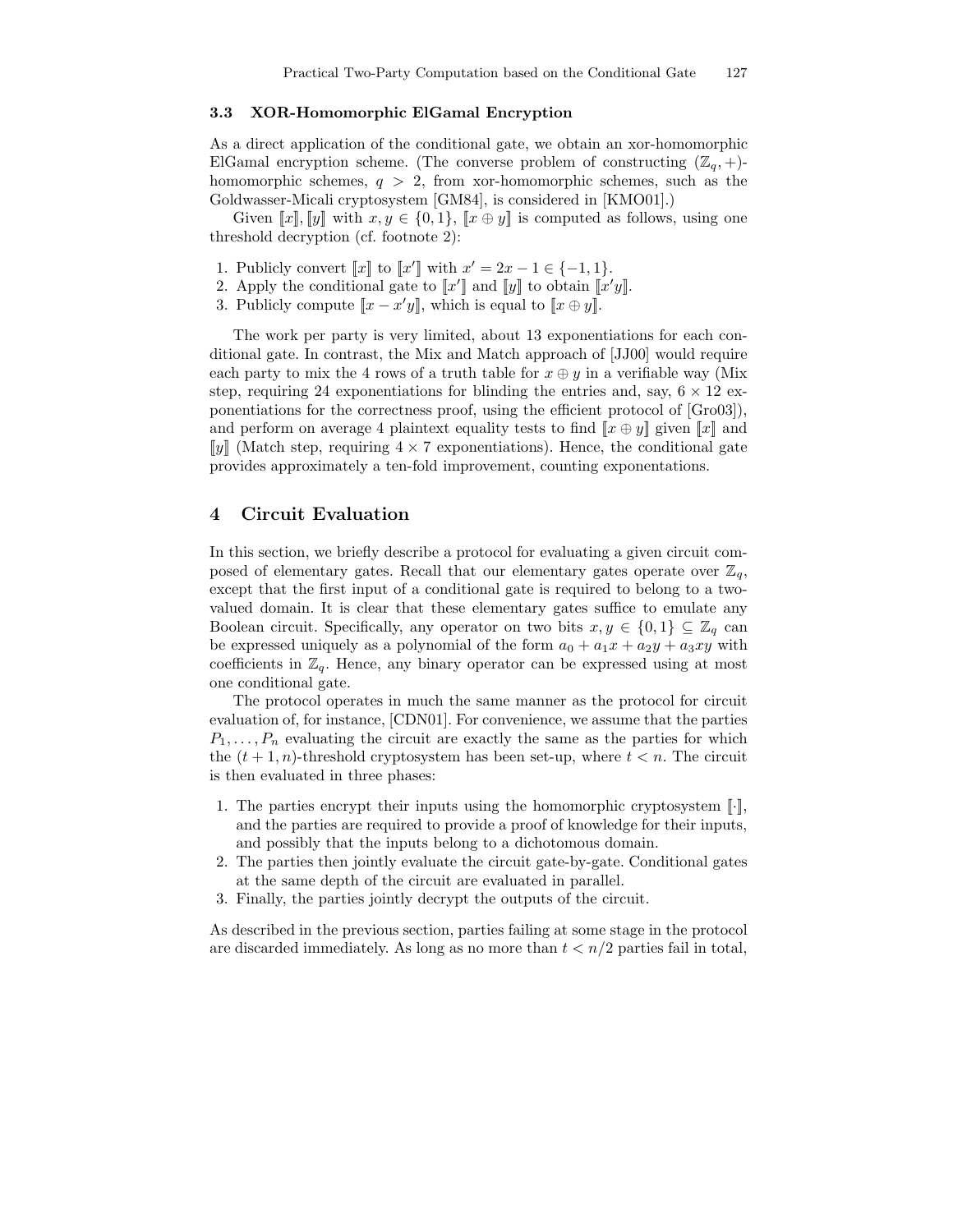### 3.3 XOR-Homomorphic ElGamal Encryption

As a direct application of the conditional gate, we obtain an xor-homomorphic ElGamal encryption scheme. (The converse problem of constructing  $(\mathbb{Z}_q, +)$ homomorphic schemes,  $q > 2$ , from xor-homomorphic schemes, such as the Goldwasser-Micali cryptosystem [GM84], is considered in [KMO01].)

Given  $\llbracket x \rrbracket$ ,  $\llbracket y \rrbracket$  with  $x, y \in \{0, 1\}$ ,  $\llbracket x \oplus y \rrbracket$  is computed as follows, using one threshold decryption (cf. footnote 2):

- 1. Publicly convert  $\llbracket x \rrbracket$  to  $\llbracket x' \rrbracket$  with  $x' = 2x 1 \in \{-1, 1\}.$
- 2. Apply the conditional gate to  $\llbracket x' \rrbracket$  and  $\llbracket y \rrbracket$  to obtain  $\llbracket x'y \rrbracket$ .
- 3. Publicly compute  $\llbracket x x'y \rrbracket$ , which is equal to  $\llbracket x \oplus y \rrbracket$ .

The work per party is very limited, about 13 exponentiations for each conditional gate. In contrast, the Mix and Match approach of [JJ00] would require each party to mix the 4 rows of a truth table for  $x \oplus y$  in a verifiable way (Mix step, requiring 24 exponentiations for blinding the entries and, say,  $6 \times 12$  exponentiations for the correctness proof, using the efficient protocol of [Gro03]), and perform on average 4 plaintext equality tests to find  $\llbracket x \oplus y \rrbracket$  given  $\llbracket x \rrbracket$  and  $\llbracket y \rrbracket$  (Match step, requiring  $4 \times 7$  exponentiations). Hence, the conditional gate provides approximately a ten-fold improvement, counting exponentations.

## 4 Circuit Evaluation

In this section, we briefly describe a protocol for evaluating a given circuit composed of elementary gates. Recall that our elementary gates operate over  $\mathbb{Z}_q$ , except that the first input of a conditional gate is required to belong to a twovalued domain. It is clear that these elementary gates suffice to emulate any Boolean circuit. Specifically, any operator on two bits  $x, y \in \{0, 1\} \subseteq \mathbb{Z}_q$  can be expressed uniquely as a polynomial of the form  $a_0 + a_1x + a_2y + a_3xy$  with coefficients in  $\mathbb{Z}_q$ . Hence, any binary operator can be expressed using at most one conditional gate.

The protocol operates in much the same manner as the protocol for circuit evaluation of, for instance, [CDN01]. For convenience, we assume that the parties  $P_1, \ldots, P_n$  evaluating the circuit are exactly the same as the parties for which the  $(t + 1, n)$ -threshold cryptosystem has been set-up, where  $t < n$ . The circuit is then evaluated in three phases:

- 1. The parties encrypt their inputs using the homomorphic cryptosystem  $\lceil \cdot \rceil$ , and the parties are required to provide a proof of knowledge for their inputs, and possibly that the inputs belong to a dichotomous domain.
- 2. The parties then jointly evaluate the circuit gate-by-gate. Conditional gates at the same depth of the circuit are evaluated in parallel.
- 3. Finally, the parties jointly decrypt the outputs of the circuit.

As described in the previous section, parties failing at some stage in the protocol are discarded immediately. As long as no more than  $t < n/2$  parties fail in total,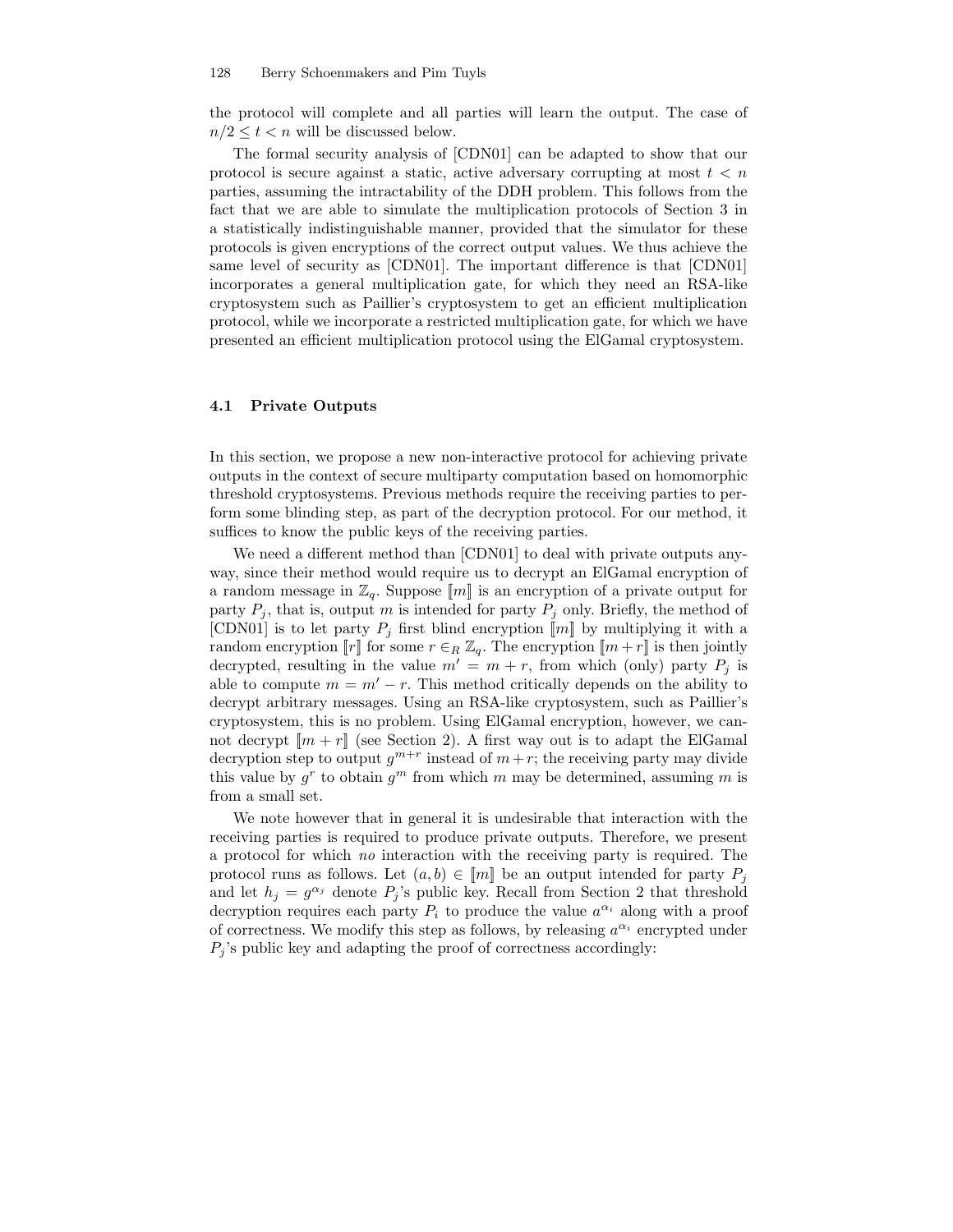the protocol will complete and all parties will learn the output. The case of  $n/2 \leq t < n$  will be discussed below.

The formal security analysis of [CDN01] can be adapted to show that our protocol is secure against a static, active adversary corrupting at most  $t < n$ parties, assuming the intractability of the DDH problem. This follows from the fact that we are able to simulate the multiplication protocols of Section 3 in a statistically indistinguishable manner, provided that the simulator for these protocols is given encryptions of the correct output values. We thus achieve the same level of security as [CDN01]. The important difference is that [CDN01] incorporates a general multiplication gate, for which they need an RSA-like cryptosystem such as Paillier's cryptosystem to get an efficient multiplication protocol, while we incorporate a restricted multiplication gate, for which we have presented an efficient multiplication protocol using the ElGamal cryptosystem.

#### 4.1 Private Outputs

In this section, we propose a new non-interactive protocol for achieving private outputs in the context of secure multiparty computation based on homomorphic threshold cryptosystems. Previous methods require the receiving parties to perform some blinding step, as part of the decryption protocol. For our method, it suffices to know the public keys of the receiving parties.

We need a different method than [CDN01] to deal with private outputs anyway, since their method would require us to decrypt an ElGamal encryption of a random message in  $\mathbb{Z}_q$ . Suppose  $\llbracket m \rrbracket$  is an encryption of a private output for party  $P_i$ , that is, output m is intended for party  $P_i$  only. Briefly, the method of [CDN01] is to let party  $P_j$  first blind encryption  $\llbracket m \rrbracket$  by multiplying it with a random encryption  $\llbracket r \rrbracket$  for some  $r \in_R \mathbb{Z}_q$ . The encryption  $\llbracket m + r \rrbracket$  is then jointly decrypted, resulting in the value  $m' = m + r$ , from which (only) party  $P_i$  is able to compute  $m = m' - r$ . This method critically depends on the ability to decrypt arbitrary messages. Using an RSA-like cryptosystem, such as Paillier's cryptosystem, this is no problem. Using ElGamal encryption, however, we cannot decrypt  $[m + r]$  (see Section 2). A first way out is to adapt the ElGamal decryption step to output  $g^{m+r}$  instead of  $m+r$ ; the receiving party may divide this value by  $g^r$  to obtain  $g^m$  from which m may be determined, assuming m is from a small set.

We note however that in general it is undesirable that interaction with the receiving parties is required to produce private outputs. Therefore, we present a protocol for which no interaction with the receiving party is required. The protocol runs as follows. Let  $(a, b) \in [m]$  be an output intended for party  $P_i$ and let  $h_j = g^{\alpha_j}$  denote  $P_j$ 's public key. Recall from Section 2 that threshold decryption requires each party  $P_i$  to produce the value  $a^{\alpha_i}$  along with a proof of correctness. We modify this step as follows, by releasing  $a^{\alpha_i}$  encrypted under  $P_j$ 's public key and adapting the proof of correctness accordingly: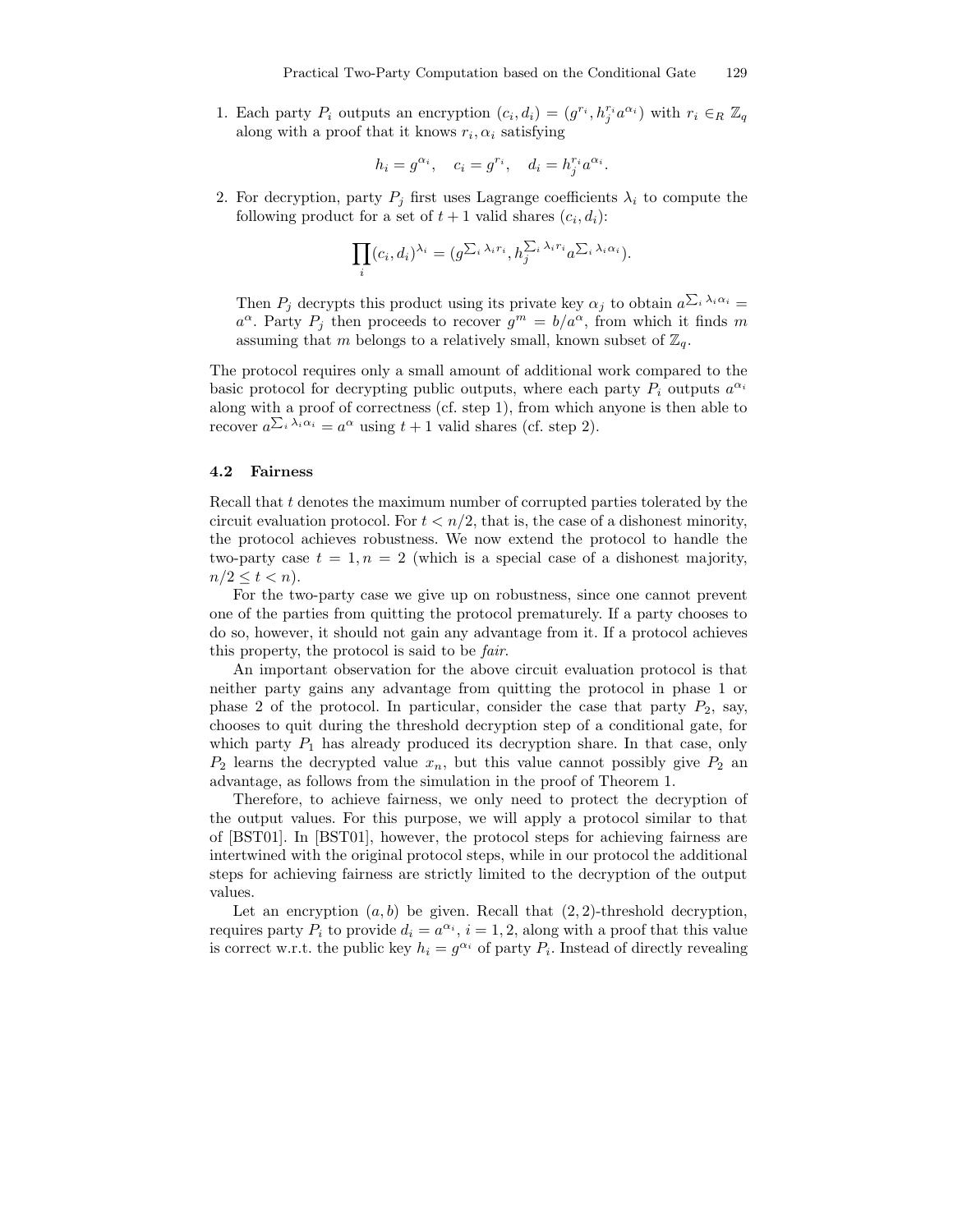1. Each party  $P_i$  outputs an encryption  $(c_i, d_i) = (g^{r_i}, h^{r_i}_j a^{\alpha_i})$  with  $r_i \in_R \mathbb{Z}_q$ along with a proof that it knows  $r_i, \alpha_i$  satisfying

$$
h_i = g^{\alpha_i}, \quad c_i = g^{r_i}, \quad d_i = h^{r_i}_j a^{\alpha_i}.
$$

2. For decryption, party  $P_j$  first uses Lagrange coefficients  $\lambda_i$  to compute the following product for a set of  $t+1$  valid shares  $(c_i, d_i)$ :

$$
\prod_i (c_i, d_i)^{\lambda_i} = (g^{\sum_i \lambda_i r_i}, h_j^{\sum_i \lambda_i r_i} a^{\sum_i \lambda_i \alpha_i}).
$$

Then  $P_j$  decrypts this product using its private key  $\alpha_j$  to obtain  $a^{\sum_i \lambda_i \alpha_i} =$  $a^{\alpha}$ . Party  $P_j$  then proceeds to recover  $g^m = b/a^{\alpha}$ , from which it finds m assuming that m belongs to a relatively small, known subset of  $\mathbb{Z}_q$ .

The protocol requires only a small amount of additional work compared to the basic protocol for decrypting public outputs, where each party  $P_i$  outputs  $a^{\alpha_i}$ along with a proof of correctness (cf. step 1), from which anyone is then able to recover  $a^{\sum_i \lambda_i \alpha_i} = a^{\alpha}$  using  $t + 1$  valid shares (cf. step 2).

## 4.2 Fairness

Recall that  $t$  denotes the maximum number of corrupted parties tolerated by the circuit evaluation protocol. For  $t < n/2$ , that is, the case of a dishonest minority, the protocol achieves robustness. We now extend the protocol to handle the two-party case  $t = 1, n = 2$  (which is a special case of a dishonest majority,  $n/2 \leq t < n$ ).

For the two-party case we give up on robustness, since one cannot prevent one of the parties from quitting the protocol prematurely. If a party chooses to do so, however, it should not gain any advantage from it. If a protocol achieves this property, the protocol is said to be fair.

An important observation for the above circuit evaluation protocol is that neither party gains any advantage from quitting the protocol in phase 1 or phase 2 of the protocol. In particular, consider the case that party  $P_2$ , say, chooses to quit during the threshold decryption step of a conditional gate, for which party  $P_1$  has already produced its decryption share. In that case, only  $P_2$  learns the decrypted value  $x_n$ , but this value cannot possibly give  $P_2$  an advantage, as follows from the simulation in the proof of Theorem 1.

Therefore, to achieve fairness, we only need to protect the decryption of the output values. For this purpose, we will apply a protocol similar to that of [BST01]. In [BST01], however, the protocol steps for achieving fairness are intertwined with the original protocol steps, while in our protocol the additional steps for achieving fairness are strictly limited to the decryption of the output values.

Let an encryption  $(a, b)$  be given. Recall that  $(2, 2)$ -threshold decryption, requires party  $P_i$  to provide  $d_i = a^{\alpha_i}$ ,  $i = 1, 2$ , along with a proof that this value is correct w.r.t. the public key  $h_i = g^{\alpha_i}$  of party  $P_i$ . Instead of directly revealing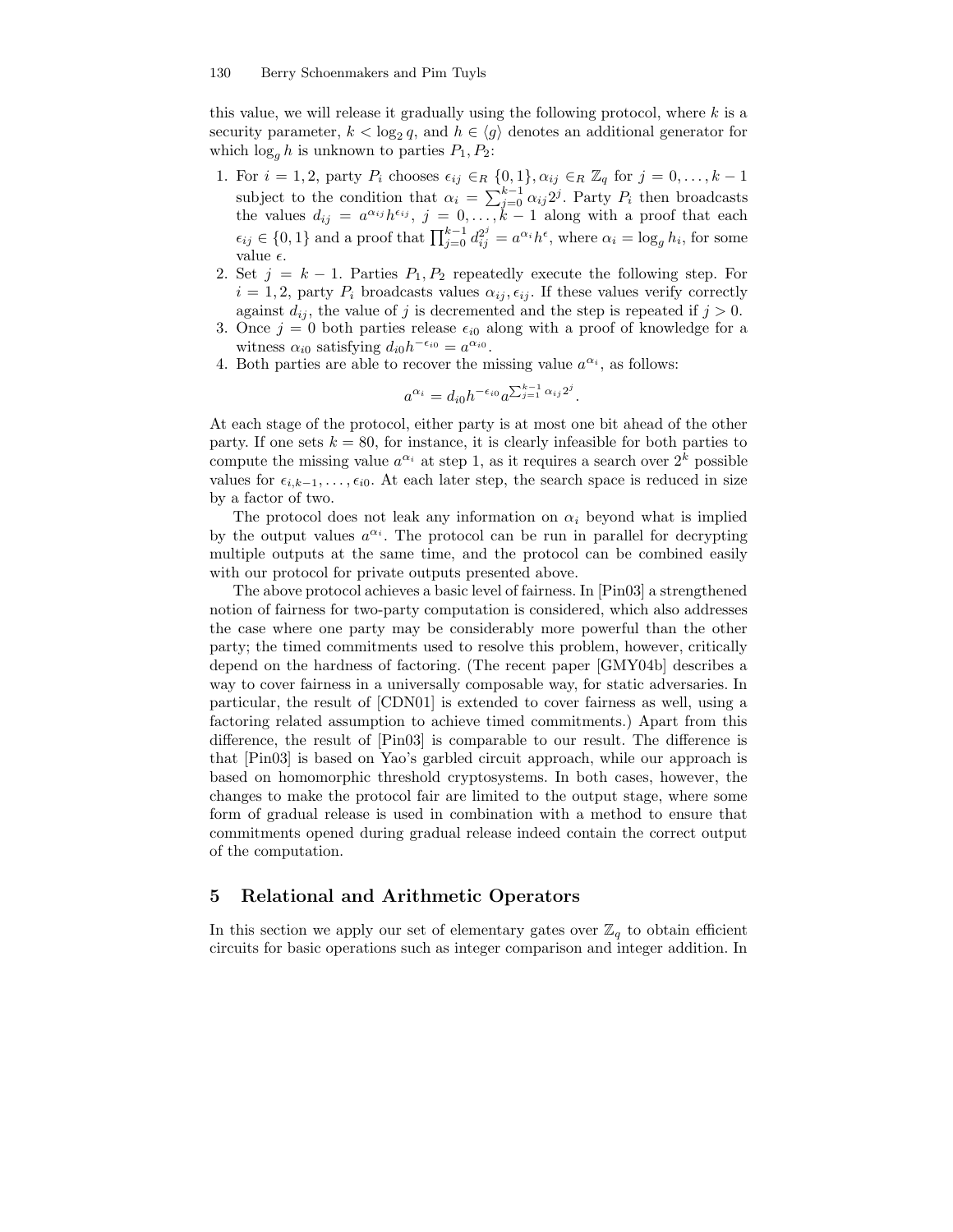this value, we will release it gradually using the following protocol, where  $k$  is a security parameter,  $k < \log_2 q$ , and  $h \in \langle g \rangle$  denotes an additional generator for which  $\log_a h$  is unknown to parties  $P_1, P_2$ :

- 1. For  $i = 1, 2$ , party  $P_i$  chooses  $\epsilon_{ij} \in_R \{0, 1\}$ ,  $\alpha_{ij} \in_R \mathbb{Z}_q$  for  $j = 0, \ldots, k 1$ subject to the condition that  $\alpha_i = \sum_{j=0}^{k-1} \alpha_{ij} 2^j$ . Party  $P_i$  then broadcasts the values  $d_{ij} = a^{\alpha_{ij}} h^{\epsilon_{ij}}, j = 0, \ldots, k-1$  along with a proof that each  $\epsilon_{ij} \in \{0,1\}$  and a proof that  $\prod_{j=0}^{k-1} d_{ij}^{2^j} = a^{\alpha_i} h^{\epsilon}$ , where  $\alpha_i = \log_g h_i$ , for some value  $\epsilon$ .
- 2. Set  $j = k 1$ . Parties  $P_1, P_2$  repeatedly execute the following step. For  $i = 1, 2$ , party  $P_i$  broadcasts values  $\alpha_{ij}, \epsilon_{ij}$ . If these values verify correctly against  $d_{ij}$ , the value of j is decremented and the step is repeated if  $j > 0$ .
- 3. Once  $j = 0$  both parties release  $\epsilon_{i0}$  along with a proof of knowledge for a witness  $\alpha_{i0}$  satisfying  $d_{i0}h^{-\epsilon_{i0}} = a^{\alpha_{i0}}$ .
- 4. Both parties are able to recover the missing value  $a^{\alpha_i}$ , as follows:

$$
a^{\alpha_i} = d_{i0}h^{-\epsilon_{i0}}a^{\sum_{j=1}^{k-1}\alpha_{ij}2^j}
$$

.

At each stage of the protocol, either party is at most one bit ahead of the other party. If one sets  $k = 80$ , for instance, it is clearly infeasible for both parties to compute the missing value  $a^{\alpha_i}$  at step 1, as it requires a search over  $2^k$  possible values for  $\epsilon_{i,k-1}, \ldots, \epsilon_{i0}$ . At each later step, the search space is reduced in size by a factor of two.

The protocol does not leak any information on  $\alpha_i$  beyond what is implied by the output values  $a^{\alpha_i}$ . The protocol can be run in parallel for decrypting multiple outputs at the same time, and the protocol can be combined easily with our protocol for private outputs presented above.

The above protocol achieves a basic level of fairness. In [Pin03] a strengthened notion of fairness for two-party computation is considered, which also addresses the case where one party may be considerably more powerful than the other party; the timed commitments used to resolve this problem, however, critically depend on the hardness of factoring. (The recent paper [GMY04b] describes a way to cover fairness in a universally composable way, for static adversaries. In particular, the result of [CDN01] is extended to cover fairness as well, using a factoring related assumption to achieve timed commitments.) Apart from this difference, the result of [Pin03] is comparable to our result. The difference is that [Pin03] is based on Yao's garbled circuit approach, while our approach is based on homomorphic threshold cryptosystems. In both cases, however, the changes to make the protocol fair are limited to the output stage, where some form of gradual release is used in combination with a method to ensure that commitments opened during gradual release indeed contain the correct output of the computation.

## 5 Relational and Arithmetic Operators

In this section we apply our set of elementary gates over  $\mathbb{Z}_q$  to obtain efficient circuits for basic operations such as integer comparison and integer addition. In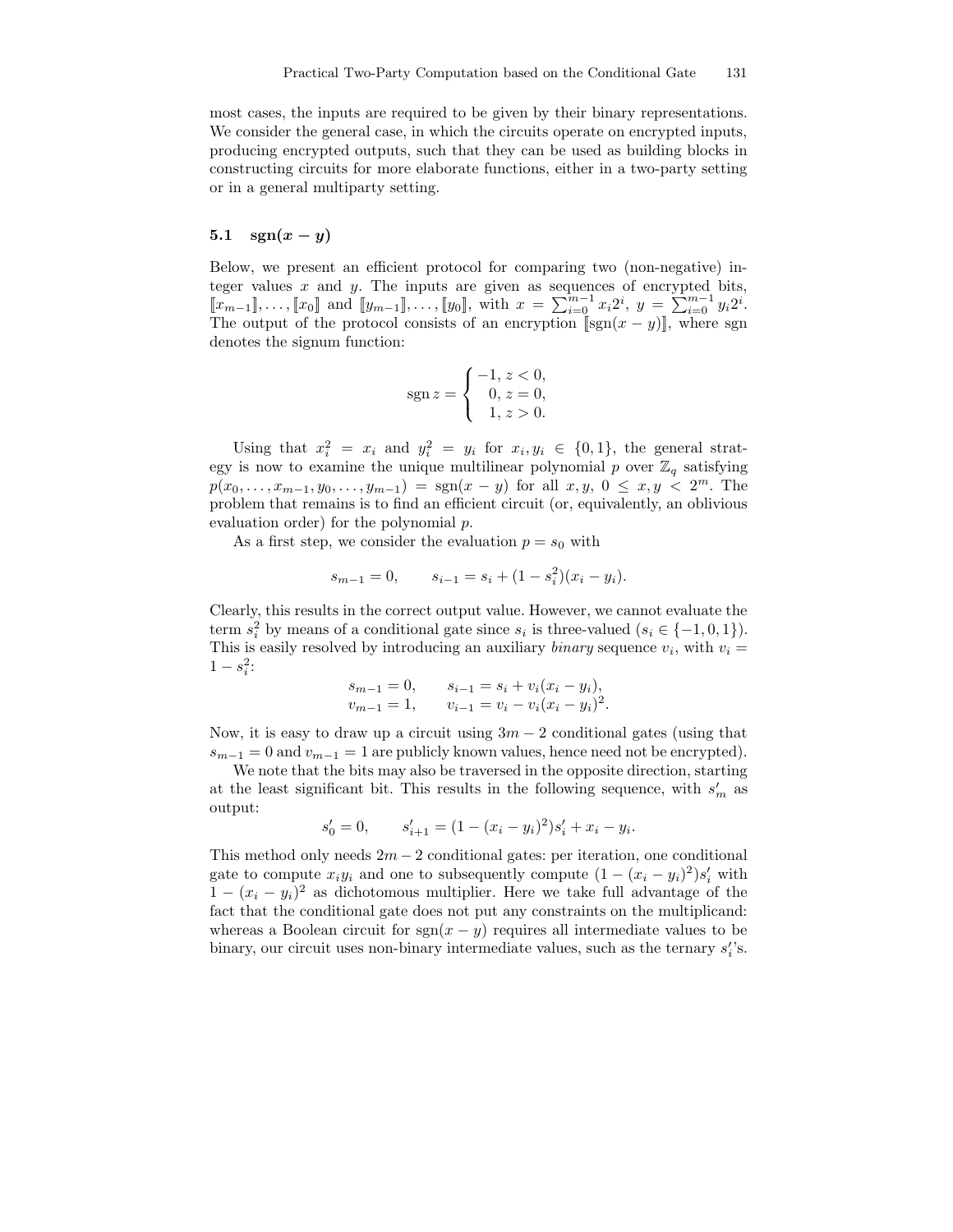most cases, the inputs are required to be given by their binary representations. We consider the general case, in which the circuits operate on encrypted inputs, producing encrypted outputs, such that they can be used as building blocks in constructing circuits for more elaborate functions, either in a two-party setting or in a general multiparty setting.

## 5.1  $sgn(x - y)$

Below, we present an efficient protocol for comparing two (non-negative) integer values  $x$  and  $y$ . The inputs are given as sequences of encrypted bits,  $[x_{m-1}], \ldots, [x_0]$  and  $[y_{m-1}], \ldots, [y_0],$  with  $x = \sum_{i=0}^{m-1} x_i 2^i$ ,  $y = \sum_{i=0}^{m-1} y_i 2^i$ . The output of the protocol consists of an encryption  $[\text{sgn}(x - y)]$ , where sgn denotes the signum function:

$$
sgn z = \begin{cases} -1, z < 0, \\ 0, z = 0, \\ 1, z > 0. \end{cases}
$$

Using that  $x_i^2 = x_i$  and  $y_i^2 = y_i$  for  $x_i, y_i \in \{0, 1\}$ , the general strategy is now to examine the unique multilinear polynomial  $p$  over  $\mathbb{Z}_q$  satisfying  $p(x_0, \ldots, x_{m-1}, y_0, \ldots, y_{m-1}) = \text{sgn}(x - y)$  for all  $x, y, 0 \le x, y < 2^m$ . The problem that remains is to find an efficient circuit (or, equivalently, an oblivious evaluation order) for the polynomial p.

As a first step, we consider the evaluation  $p = s_0$  with

$$
s_{m-1} = 0, \qquad s_{i-1} = s_i + (1 - s_i^2)(x_i - y_i).
$$

Clearly, this results in the correct output value. However, we cannot evaluate the term  $s_i^2$  by means of a conditional gate since  $s_i$  is three-valued  $(s_i \in \{-1, 0, 1\})$ . This is easily resolved by introducing an auxiliary *binary* sequence  $v_i$ , with  $v_i =$  $1 - s_i^2$ :

$$
s_{m-1} = 0, \t s_{i-1} = s_i + v_i(x_i - y_i),
$$
  

$$
v_{m-1} = 1, \t v_{i-1} = v_i - v_i(x_i - y_i)^2.
$$

Now, it is easy to draw up a circuit using  $3m - 2$  conditional gates (using that  $s_{m-1} = 0$  and  $v_{m-1} = 1$  are publicly known values, hence need not be encrypted).

We note that the bits may also be traversed in the opposite direction, starting at the least significant bit. This results in the following sequence, with  $s'_m$  as output:

$$
s'_0 = 0, \qquad s'_{i+1} = (1 - (x_i - y_i)^2)s'_i + x_i - y_i.
$$

This method only needs  $2m - 2$  conditional gates: per iteration, one conditional gate to compute  $x_i y_i$  and one to subsequently compute  $(1 - (x_i - y_i)^2) s'_i$  with  $1 - (x_i - y_i)^2$  as dichotomous multiplier. Here we take full advantage of the fact that the conditional gate does not put any constraints on the multiplicand: whereas a Boolean circuit for  $sgn(x - y)$  requires all intermediate values to be binary, our circuit uses non-binary intermediate values, such as the ternary  $s_i$ 's.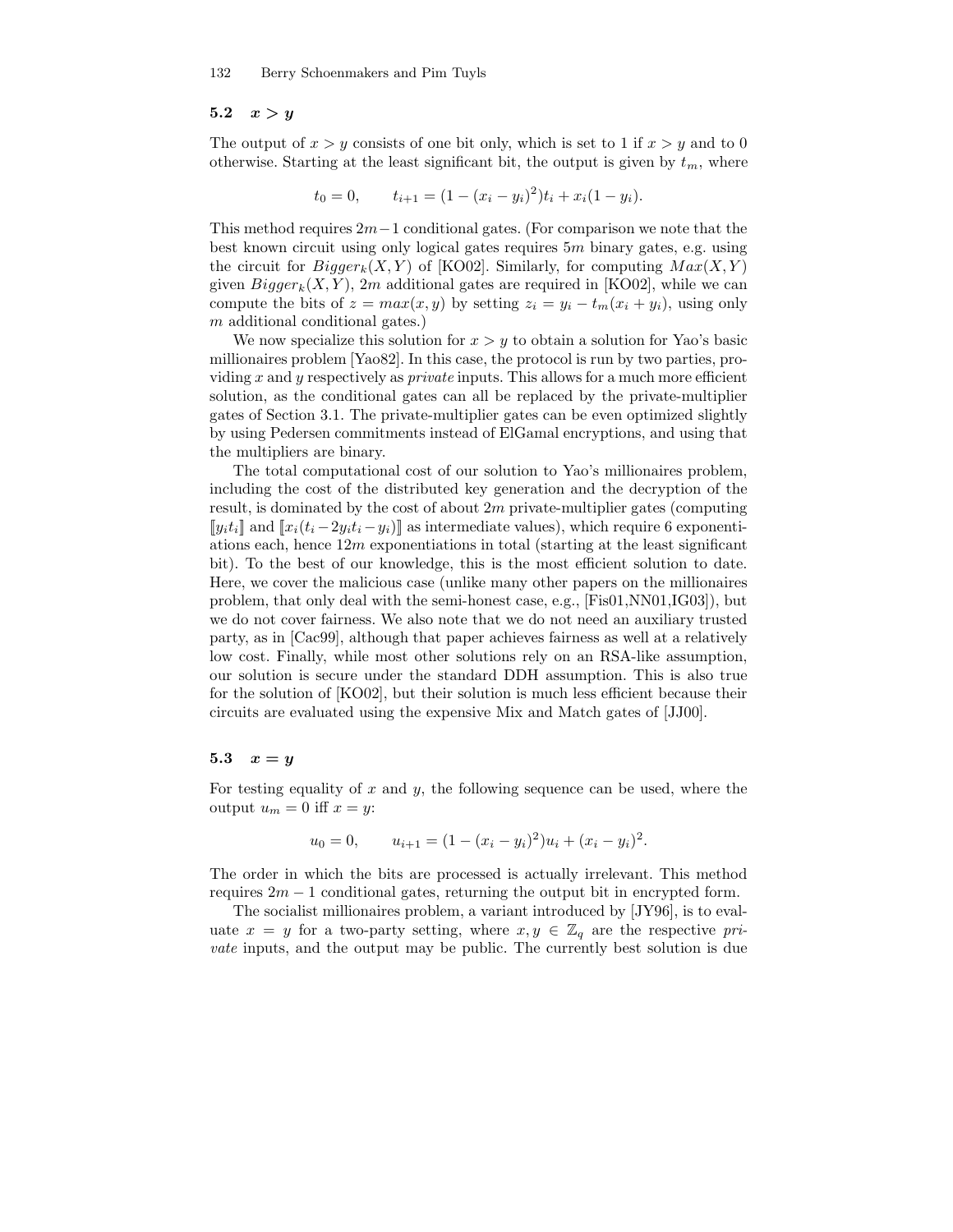## 5.2  $x > y$

The output of  $x > y$  consists of one bit only, which is set to 1 if  $x > y$  and to 0 otherwise. Starting at the least significant bit, the output is given by  $t_m$ , where

$$
t_0 = 0, \qquad t_{i+1} = (1 - (x_i - y_i)^2)t_i + x_i(1 - y_i).
$$

This method requires  $2m-1$  conditional gates. (For comparison we note that the best known circuit using only logical gates requires 5m binary gates, e.g. using the circuit for  $Biger_k(X, Y)$  of [KO02]. Similarly, for computing  $Max(X, Y)$ given  $Biger_k(X, Y)$ , 2m additional gates are required in [KO02], while we can compute the bits of  $z = max(x, y)$  by setting  $z_i = y_i - t_m(x_i + y_i)$ , using only m additional conditional gates.)

We now specialize this solution for  $x > y$  to obtain a solution for Yao's basic millionaires problem [Yao82]. In this case, the protocol is run by two parties, providing  $x$  and  $y$  respectively as *private* inputs. This allows for a much more efficient solution, as the conditional gates can all be replaced by the private-multiplier gates of Section 3.1. The private-multiplier gates can be even optimized slightly by using Pedersen commitments instead of ElGamal encryptions, and using that the multipliers are binary.

The total computational cost of our solution to Yao's millionaires problem, including the cost of the distributed key generation and the decryption of the result, is dominated by the cost of about  $2m$  private-multiplier gates (computing  $[y_i t_i]$  and  $[x_i(t_i - 2y_i t_i - y_i)]$  as intermediate values), which require 6 exponentiations each, hence  $12m$  exponentiations in total (starting at the least significant bit). To the best of our knowledge, this is the most efficient solution to date. Here, we cover the malicious case (unlike many other papers on the millionaires problem, that only deal with the semi-honest case, e.g., [Fis01,NN01,IG03]), but we do not cover fairness. We also note that we do not need an auxiliary trusted party, as in [Cac99], although that paper achieves fairness as well at a relatively low cost. Finally, while most other solutions rely on an RSA-like assumption, our solution is secure under the standard DDH assumption. This is also true for the solution of [KO02], but their solution is much less efficient because their circuits are evaluated using the expensive Mix and Match gates of [JJ00].

#### 5.3  $x = y$

For testing equality of x and  $y$ , the following sequence can be used, where the output  $u_m = 0$  iff  $x = y$ :

$$
u_0 = 0, \qquad u_{i+1} = (1 - (x_i - y_i)^2)u_i + (x_i - y_i)^2.
$$

The order in which the bits are processed is actually irrelevant. This method requires  $2m - 1$  conditional gates, returning the output bit in encrypted form.

The socialist millionaires problem, a variant introduced by [JY96], is to evaluate  $x = y$  for a two-party setting, where  $x, y \in \mathbb{Z}_q$  are the respective private inputs, and the output may be public. The currently best solution is due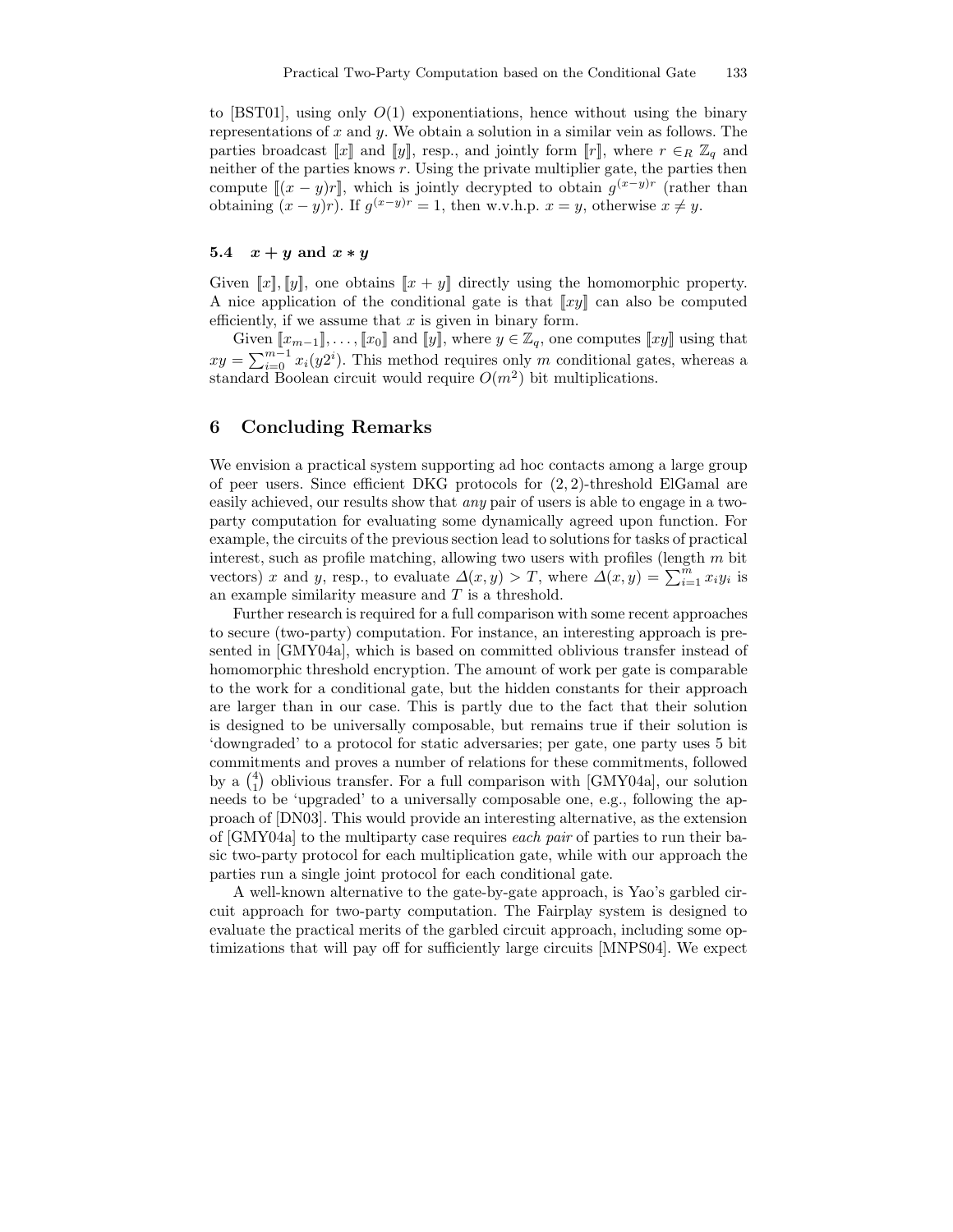to [BST01], using only  $O(1)$  exponentiations, hence without using the binary representations of  $x$  and  $y$ . We obtain a solution in a similar vein as follows. The parties broadcast [x] and [y], resp., and jointly form [r], where  $r \in_R \mathbb{Z}_q$  and neither of the parties knows  $r$ . Using the private multiplier gate, the parties then compute  $[(x - y)r]$ , which is jointly decrypted to obtain  $g^{(x-y)r}$  (rather than obtaining  $(x - y)r$ . If  $g^{(x-y)r} = 1$ , then w.v.h.p.  $x = y$ , otherwise  $x \neq y$ .

## 5.4  $x + y$  and  $x * y$

Given  $[x]$ ,  $[y]$ , one obtains  $[x + y]$  directly using the homomorphic property. A nice application of the conditional gate is that  $\llbracket xy \rrbracket$  can also be computed efficiently, if we assume that  $x$  is given in binary form.

Given  $[x_{m-1}], \ldots, [x_0]$  and  $[y]$ , where  $y \in \mathbb{Z}_q$ , one computes  $[xy]$  using that  $xy = \sum_{i=0}^{m-1} x_i(y^{2^i})$ . This method requires only m conditional gates, whereas a standard Boolean circuit would require  $O(m^2)$  bit multiplications.

# 6 Concluding Remarks

We envision a practical system supporting ad hoc contacts among a large group of peer users. Since efficient DKG protocols for (2, 2)-threshold ElGamal are easily achieved, our results show that any pair of users is able to engage in a twoparty computation for evaluating some dynamically agreed upon function. For example, the circuits of the previous section lead to solutions for tasks of practical interest, such as profile matching, allowing two users with profiles (length  $m$  bit vectors) x and y, resp., to evaluate  $\Delta(x, y) > T$ , where  $\Delta(x, y) = \sum_{i=1}^{m} x_i y_i$  is an example similarity measure and T is a threshold.

Further research is required for a full comparison with some recent approaches to secure (two-party) computation. For instance, an interesting approach is presented in [GMY04a], which is based on committed oblivious transfer instead of homomorphic threshold encryption. The amount of work per gate is comparable to the work for a conditional gate, but the hidden constants for their approach are larger than in our case. This is partly due to the fact that their solution is designed to be universally composable, but remains true if their solution is 'downgraded' to a protocol for static adversaries; per gate, one party uses 5 bit commitments and proves a number of relations for these commitments, followed by a  $\binom{4}{1}$  oblivious transfer. For a full comparison with [GMY04a], our solution needs to be 'upgraded' to a universally composable one, e.g., following the approach of [DN03]. This would provide an interesting alternative, as the extension of [GMY04a] to the multiparty case requires each pair of parties to run their basic two-party protocol for each multiplication gate, while with our approach the parties run a single joint protocol for each conditional gate.

A well-known alternative to the gate-by-gate approach, is Yao's garbled circuit approach for two-party computation. The Fairplay system is designed to evaluate the practical merits of the garbled circuit approach, including some optimizations that will pay off for sufficiently large circuits [MNPS04]. We expect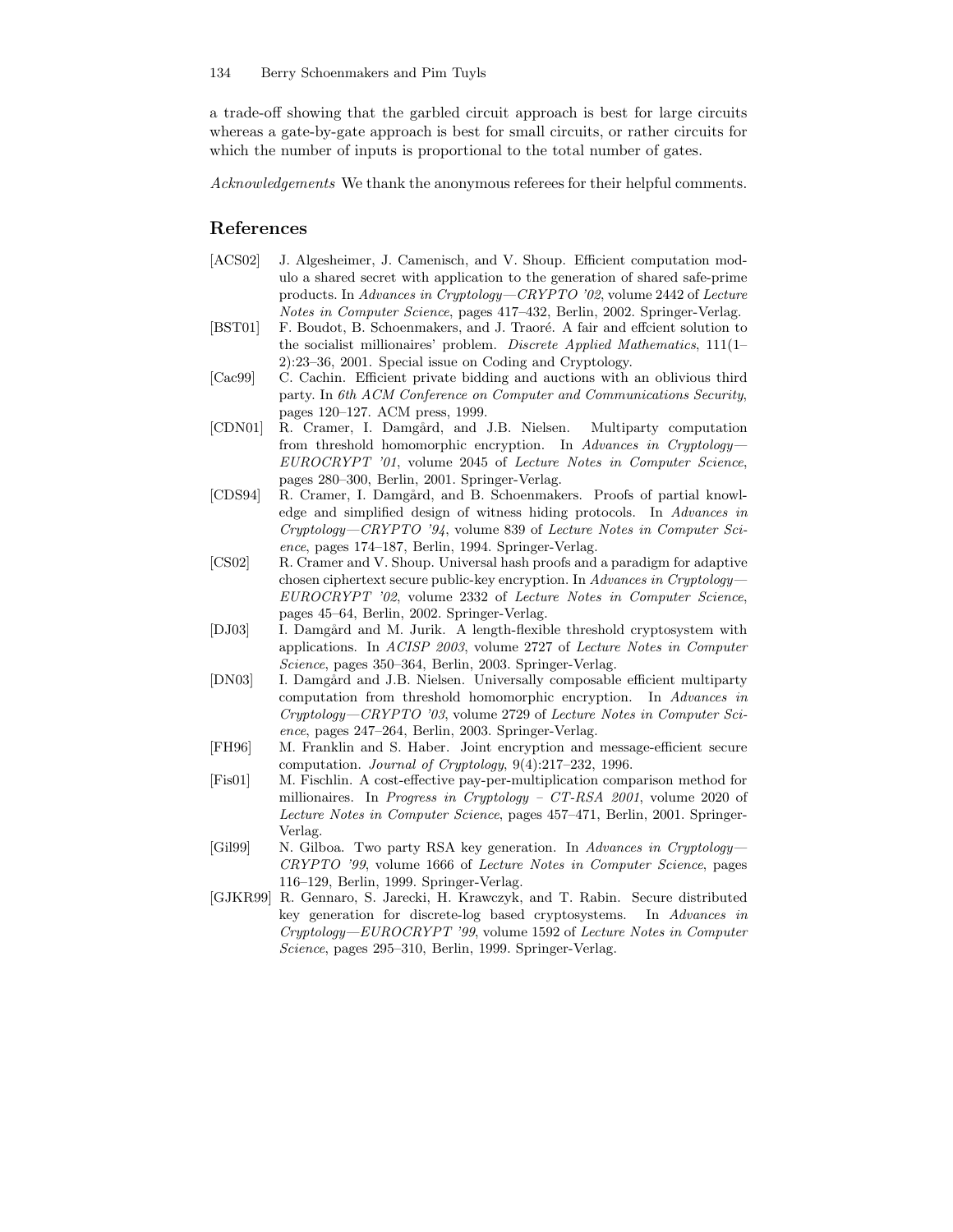a trade-off showing that the garbled circuit approach is best for large circuits whereas a gate-by-gate approach is best for small circuits, or rather circuits for which the number of inputs is proportional to the total number of gates.

Acknowledgements We thank the anonymous referees for their helpful comments.

## References

- [ACS02] J. Algesheimer, J. Camenisch, and V. Shoup. Efficient computation modulo a shared secret with application to the generation of shared safe-prime products. In Advances in Cryptology—CRYPTO '02, volume 2442 of Lecture Notes in Computer Science, pages 417–432, Berlin, 2002. Springer-Verlag.
- [BST01] F. Boudot, B. Schoenmakers, and J. Traoré. A fair and effcient solution to the socialist millionaires' problem. Discrete Applied Mathematics, 111(1– 2):23–36, 2001. Special issue on Coding and Cryptology.
- [Cac99] C. Cachin. Efficient private bidding and auctions with an oblivious third party. In 6th ACM Conference on Computer and Communications Security, pages 120–127. ACM press, 1999.
- [CDN01] R. Cramer, I. Damgård, and J.B. Nielsen. Multiparty computation from threshold homomorphic encryption. In Advances in Cryptology-EUROCRYPT '01, volume 2045 of Lecture Notes in Computer Science, pages 280–300, Berlin, 2001. Springer-Verlag.
- [CDS94] R. Cramer, I. Damgård, and B. Schoenmakers. Proofs of partial knowledge and simplified design of witness hiding protocols. In Advances in Cryptology—CRYPTO '94, volume 839 of Lecture Notes in Computer Science, pages 174–187, Berlin, 1994. Springer-Verlag.
- [CS02] R. Cramer and V. Shoup. Universal hash proofs and a paradigm for adaptive chosen ciphertext secure public-key encryption. In Advances in Cryptology-EUROCRYPT '02, volume 2332 of Lecture Notes in Computer Science, pages 45–64, Berlin, 2002. Springer-Verlag.
- [DJ03] I. Damgård and M. Jurik. A length-flexible threshold cryptosystem with applications. In ACISP 2003, volume 2727 of Lecture Notes in Computer Science, pages 350–364, Berlin, 2003. Springer-Verlag.
- [DN03] I. Damgård and J.B. Nielsen. Universally composable efficient multiparty computation from threshold homomorphic encryption. In Advances in Cryptology—CRYPTO '03, volume 2729 of Lecture Notes in Computer Science, pages 247–264, Berlin, 2003. Springer-Verlag.
- [FH96] M. Franklin and S. Haber. Joint encryption and message-efficient secure computation. Journal of Cryptology, 9(4):217–232, 1996.
- [Fis01] M. Fischlin. A cost-effective pay-per-multiplication comparison method for millionaires. In Progress in Cryptology – CT-RSA 2001, volume 2020 of Lecture Notes in Computer Science, pages 457–471, Berlin, 2001. Springer-Verlag.
- [Gil99] N. Gilboa. Two party RSA key generation. In Advances in Cryptology— CRYPTO '99, volume 1666 of Lecture Notes in Computer Science, pages 116–129, Berlin, 1999. Springer-Verlag.
- [GJKR99] R. Gennaro, S. Jarecki, H. Krawczyk, and T. Rabin. Secure distributed key generation for discrete-log based cryptosystems. In Advances in Cryptology—EUROCRYPT '99, volume 1592 of Lecture Notes in Computer Science, pages 295–310, Berlin, 1999. Springer-Verlag.